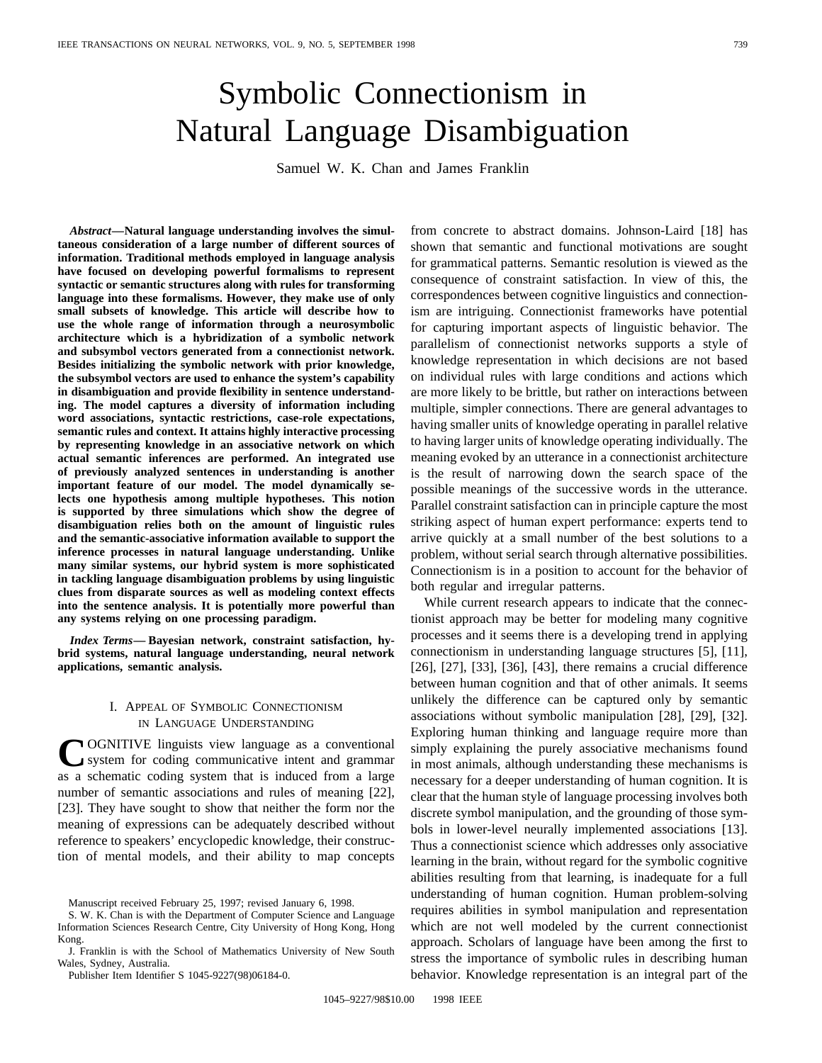# Symbolic Connectionism in Natural Language Disambiguation

Samuel W. K. Chan and James Franklin

*Abstract—***Natural language understanding involves the simultaneous consideration of a large number of different sources of information. Traditional methods employed in language analysis have focused on developing powerful formalisms to represent syntactic or semantic structures along with rules for transforming language into these formalisms. However, they make use of only small subsets of knowledge. This article will describe how to use the whole range of information through a neurosymbolic architecture which is a hybridization of a symbolic network and subsymbol vectors generated from a connectionist network. Besides initializing the symbolic network with prior knowledge, the subsymbol vectors are used to enhance the system's capability in disambiguation and provide flexibility in sentence understanding. The model captures a diversity of information including word associations, syntactic restrictions, case-role expectations, semantic rules and context. It attains highly interactive processing by representing knowledge in an associative network on which actual semantic inferences are performed. An integrated use of previously analyzed sentences in understanding is another important feature of our model. The model dynamically selects one hypothesis among multiple hypotheses. This notion is supported by three simulations which show the degree of disambiguation relies both on the amount of linguistic rules and the semantic-associative information available to support the inference processes in natural language understanding. Unlike many similar systems, our hybrid system is more sophisticated in tackling language disambiguation problems by using linguistic clues from disparate sources as well as modeling context effects into the sentence analysis. It is potentially more powerful than any systems relying on one processing paradigm.**

*Index Terms—* **Bayesian network, constraint satisfaction, hybrid systems, natural language understanding, neural network applications, semantic analysis.**

## I. APPEAL OF SYMBOLIC CONNECTIONISM IN LANGUAGE UNDERSTANDING

**COGNITIVE** linguists view language as a conventional system for coding communicative intent and grammar as a schematic coding system that is induced from a large number of semantic associations and rules of meaning [22], [23]. They have sought to show that neither the form nor the meaning of expressions can be adequately described without reference to speakers' encyclopedic knowledge, their construction of mental models, and their ability to map concepts

Publisher Item Identifier S 1045-9227(98)06184-0.

from concrete to abstract domains. Johnson-Laird [18] has shown that semantic and functional motivations are sought for grammatical patterns. Semantic resolution is viewed as the consequence of constraint satisfaction. In view of this, the correspondences between cognitive linguistics and connectionism are intriguing. Connectionist frameworks have potential for capturing important aspects of linguistic behavior. The parallelism of connectionist networks supports a style of knowledge representation in which decisions are not based on individual rules with large conditions and actions which are more likely to be brittle, but rather on interactions between multiple, simpler connections. There are general advantages to having smaller units of knowledge operating in parallel relative to having larger units of knowledge operating individually. The meaning evoked by an utterance in a connectionist architecture is the result of narrowing down the search space of the possible meanings of the successive words in the utterance. Parallel constraint satisfaction can in principle capture the most striking aspect of human expert performance: experts tend to arrive quickly at a small number of the best solutions to a problem, without serial search through alternative possibilities. Connectionism is in a position to account for the behavior of both regular and irregular patterns.

While current research appears to indicate that the connectionist approach may be better for modeling many cognitive processes and it seems there is a developing trend in applying connectionism in understanding language structures [5], [11], [26], [27], [33], [36], [43], there remains a crucial difference between human cognition and that of other animals. It seems unlikely the difference can be captured only by semantic associations without symbolic manipulation [28], [29], [32]. Exploring human thinking and language require more than simply explaining the purely associative mechanisms found in most animals, although understanding these mechanisms is necessary for a deeper understanding of human cognition. It is clear that the human style of language processing involves both discrete symbol manipulation, and the grounding of those symbols in lower-level neurally implemented associations [13]. Thus a connectionist science which addresses only associative learning in the brain, without regard for the symbolic cognitive abilities resulting from that learning, is inadequate for a full understanding of human cognition. Human problem-solving requires abilities in symbol manipulation and representation which are not well modeled by the current connectionist approach. Scholars of language have been among the first to stress the importance of symbolic rules in describing human behavior. Knowledge representation is an integral part of the

Manuscript received February 25, 1997; revised January 6, 1998.

S. W. K. Chan is with the Department of Computer Science and Language Information Sciences Research Centre, City University of Hong Kong, Hong Kong.

J. Franklin is with the School of Mathematics University of New South Wales, Sydney, Australia.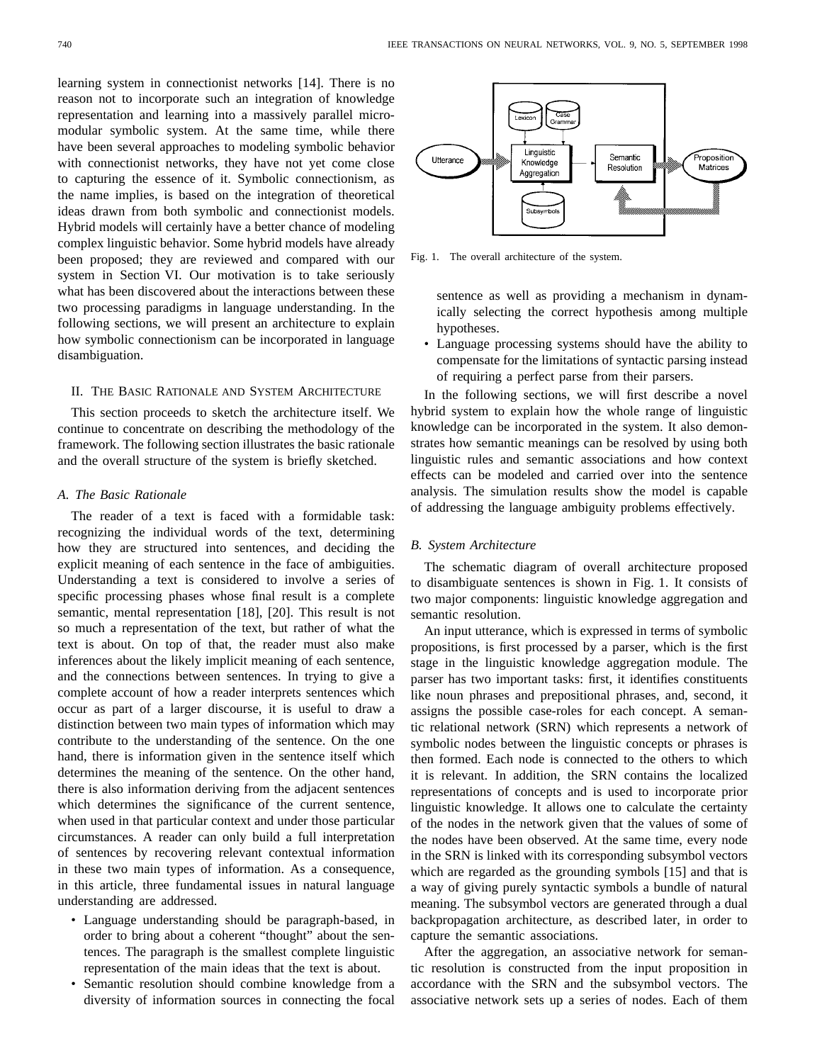learning system in connectionist networks [14]. There is no reason not to incorporate such an integration of knowledge representation and learning into a massively parallel micromodular symbolic system. At the same time, while there have been several approaches to modeling symbolic behavior with connectionist networks, they have not yet come close to capturing the essence of it. Symbolic connectionism, as the name implies, is based on the integration of theoretical ideas drawn from both symbolic and connectionist models. Hybrid models will certainly have a better chance of modeling complex linguistic behavior. Some hybrid models have already been proposed; they are reviewed and compared with our system in Section VI. Our motivation is to take seriously what has been discovered about the interactions between these two processing paradigms in language understanding. In the following sections, we will present an architecture to explain how symbolic connectionism can be incorporated in language disambiguation.

## II. THE BASIC RATIONALE AND SYSTEM ARCHITECTURE

This section proceeds to sketch the architecture itself. We continue to concentrate on describing the methodology of the framework. The following section illustrates the basic rationale and the overall structure of the system is briefly sketched.

## *A. The Basic Rationale*

The reader of a text is faced with a formidable task: recognizing the individual words of the text, determining how they are structured into sentences, and deciding the explicit meaning of each sentence in the face of ambiguities. Understanding a text is considered to involve a series of specific processing phases whose final result is a complete semantic, mental representation [18], [20]. This result is not so much a representation of the text, but rather of what the text is about. On top of that, the reader must also make inferences about the likely implicit meaning of each sentence, and the connections between sentences. In trying to give a complete account of how a reader interprets sentences which occur as part of a larger discourse, it is useful to draw a distinction between two main types of information which may contribute to the understanding of the sentence. On the one hand, there is information given in the sentence itself which determines the meaning of the sentence. On the other hand, there is also information deriving from the adjacent sentences which determines the significance of the current sentence, when used in that particular context and under those particular circumstances. A reader can only build a full interpretation of sentences by recovering relevant contextual information in these two main types of information. As a consequence, in this article, three fundamental issues in natural language understanding are addressed.

- Language understanding should be paragraph-based, in order to bring about a coherent "thought" about the sentences. The paragraph is the smallest complete linguistic representation of the main ideas that the text is about.
- Semantic resolution should combine knowledge from a diversity of information sources in connecting the focal



Fig. 1. The overall architecture of the system.

sentence as well as providing a mechanism in dynamically selecting the correct hypothesis among multiple hypotheses.

• Language processing systems should have the ability to compensate for the limitations of syntactic parsing instead of requiring a perfect parse from their parsers.

In the following sections, we will first describe a novel hybrid system to explain how the whole range of linguistic knowledge can be incorporated in the system. It also demonstrates how semantic meanings can be resolved by using both linguistic rules and semantic associations and how context effects can be modeled and carried over into the sentence analysis. The simulation results show the model is capable of addressing the language ambiguity problems effectively.

## *B. System Architecture*

The schematic diagram of overall architecture proposed to disambiguate sentences is shown in Fig. 1. It consists of two major components: linguistic knowledge aggregation and semantic resolution.

An input utterance, which is expressed in terms of symbolic propositions, is first processed by a parser, which is the first stage in the linguistic knowledge aggregation module. The parser has two important tasks: first, it identifies constituents like noun phrases and prepositional phrases, and, second, it assigns the possible case-roles for each concept. A semantic relational network (SRN) which represents a network of symbolic nodes between the linguistic concepts or phrases is then formed. Each node is connected to the others to which it is relevant. In addition, the SRN contains the localized representations of concepts and is used to incorporate prior linguistic knowledge. It allows one to calculate the certainty of the nodes in the network given that the values of some of the nodes have been observed. At the same time, every node in the SRN is linked with its corresponding subsymbol vectors which are regarded as the grounding symbols [15] and that is a way of giving purely syntactic symbols a bundle of natural meaning. The subsymbol vectors are generated through a dual backpropagation architecture, as described later, in order to capture the semantic associations.

After the aggregation, an associative network for semantic resolution is constructed from the input proposition in accordance with the SRN and the subsymbol vectors. The associative network sets up a series of nodes. Each of them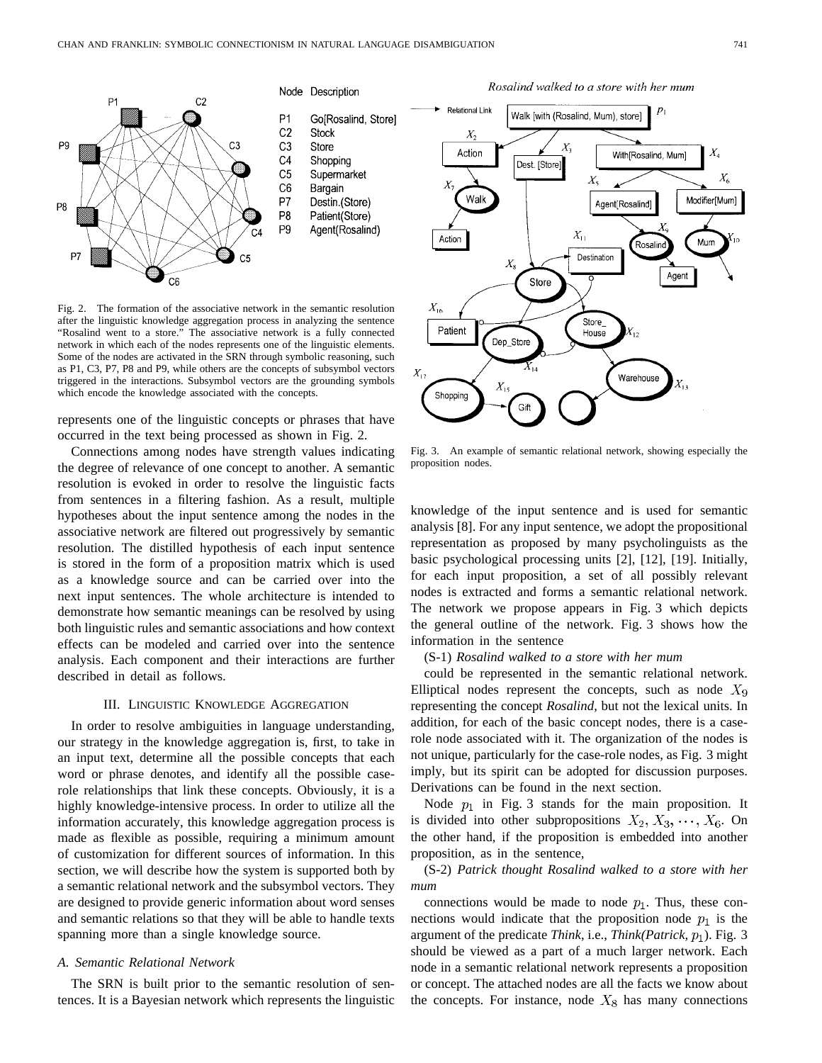

Fig. 2. The formation of the associative network in the semantic resolution after the linguistic knowledge aggregation process in analyzing the sentence "Rosalind went to a store." The associative network is a fully connected network in which each of the nodes represents one of the linguistic elements. Some of the nodes are activated in the SRN through symbolic reasoning, such as P1, C3, P7, P8 and P9, while others are the concepts of subsymbol vectors triggered in the interactions. Subsymbol vectors are the grounding symbols which encode the knowledge associated with the concepts.

represents one of the linguistic concepts or phrases that have occurred in the text being processed as shown in Fig. 2.

Connections among nodes have strength values indicating the degree of relevance of one concept to another. A semantic resolution is evoked in order to resolve the linguistic facts from sentences in a filtering fashion. As a result, multiple hypotheses about the input sentence among the nodes in the associative network are filtered out progressively by semantic resolution. The distilled hypothesis of each input sentence is stored in the form of a proposition matrix which is used as a knowledge source and can be carried over into the next input sentences. The whole architecture is intended to demonstrate how semantic meanings can be resolved by using both linguistic rules and semantic associations and how context effects can be modeled and carried over into the sentence analysis. Each component and their interactions are further described in detail as follows.

## III. LINGUISTIC KNOWLEDGE AGGREGATION

In order to resolve ambiguities in language understanding, our strategy in the knowledge aggregation is, first, to take in an input text, determine all the possible concepts that each word or phrase denotes, and identify all the possible caserole relationships that link these concepts. Obviously, it is a highly knowledge-intensive process. In order to utilize all the information accurately, this knowledge aggregation process is made as flexible as possible, requiring a minimum amount of customization for different sources of information. In this section, we will describe how the system is supported both by a semantic relational network and the subsymbol vectors. They are designed to provide generic information about word senses and semantic relations so that they will be able to handle texts spanning more than a single knowledge source.

#### *A. Semantic Relational Network*

The SRN is built prior to the semantic resolution of sentences. It is a Bayesian network which represents the linguistic



Rosalind walked to a store with her mum

Fig. 3. An example of semantic relational network, showing especially the proposition nodes.

knowledge of the input sentence and is used for semantic analysis [8]. For any input sentence, we adopt the propositional representation as proposed by many psycholinguists as the basic psychological processing units [2], [12], [19]. Initially, for each input proposition, a set of all possibly relevant nodes is extracted and forms a semantic relational network. The network we propose appears in Fig. 3 which depicts the general outline of the network. Fig. 3 shows how the information in the sentence

## (S-1) *Rosalind walked to a store with her mum*

could be represented in the semantic relational network. Elliptical nodes represent the concepts, such as node  $X_9$ representing the concept *Rosalind*, but not the lexical units. In addition, for each of the basic concept nodes, there is a caserole node associated with it. The organization of the nodes is not unique, particularly for the case-role nodes, as Fig. 3 might imply, but its spirit can be adopted for discussion purposes. Derivations can be found in the next section.

Node  $p_1$  in Fig. 3 stands for the main proposition. It is divided into other subpropositions  $X_2, X_3, \dots, X_6$ . On the other hand, if the proposition is embedded into another proposition, as in the sentence,

(S-2) *Patrick thought Rosalind walked to a store with her mum*

connections would be made to node  $p_1$ . Thus, these connections would indicate that the proposition node  $p_1$  is the argument of the predicate *Think*, i.e., *Think*(*Patrick*,  $p_1$ ). Fig. 3 should be viewed as a part of a much larger network. Each node in a semantic relational network represents a proposition or concept. The attached nodes are all the facts we know about the concepts. For instance, node  $X_8$  has many connections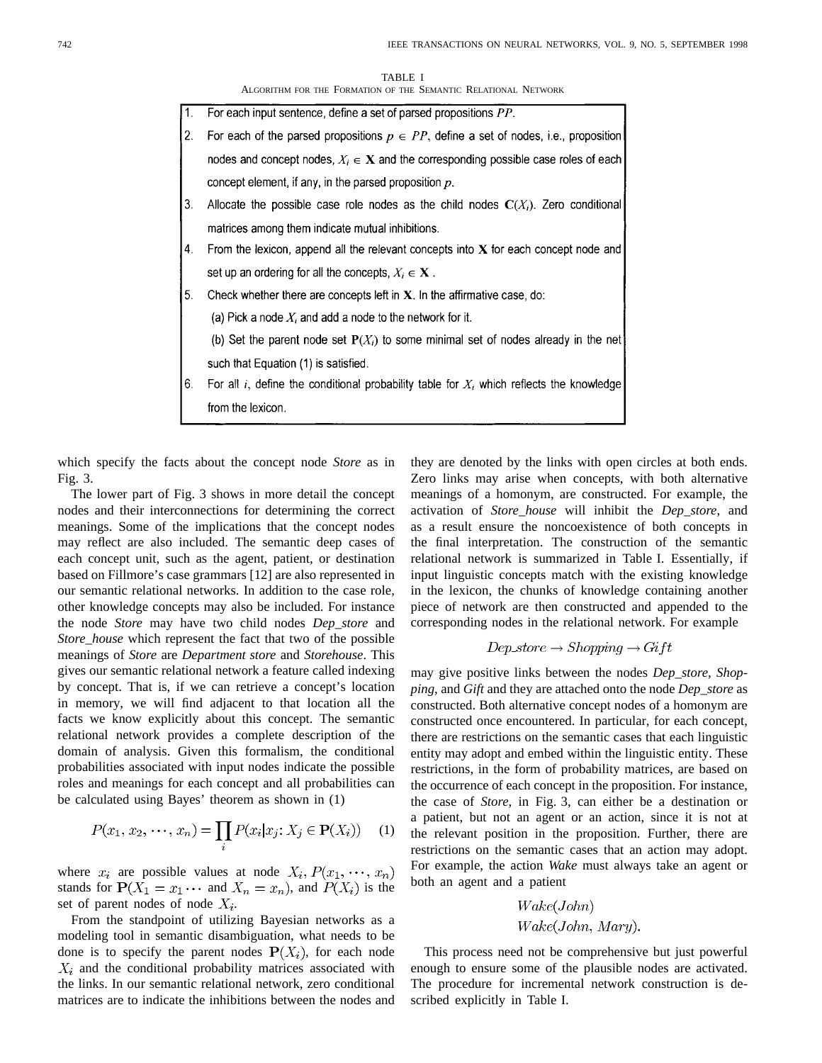

which specify the facts about the concept node *Store* as in Fig. 3.

The lower part of Fig. 3 shows in more detail the concept nodes and their interconnections for determining the correct meanings. Some of the implications that the concept nodes may reflect are also included. The semantic deep cases of each concept unit, such as the agent, patient, or destination based on Fillmore's case grammars [12] are also represented in our semantic relational networks. In addition to the case role, other knowledge concepts may also be included. For instance the node *Store* may have two child nodes *Dep\_store* and *Store\_house* which represent the fact that two of the possible meanings of *Store* are *Department store* and *Storehouse*. This gives our semantic relational network a feature called indexing by concept. That is, if we can retrieve a concept's location in memory, we will find adjacent to that location all the facts we know explicitly about this concept. The semantic relational network provides a complete description of the domain of analysis. Given this formalism, the conditional probabilities associated with input nodes indicate the possible roles and meanings for each concept and all probabilities can be calculated using Bayes' theorem as shown in (1)

$$
P(x_1, x_2, \dots, x_n) = \prod_i P(x_i | x_j; X_j \in \mathbf{P}(X_i)) \tag{1}
$$

where  $x_i$  are possible values at node  $X_i$ ,  $P(x_1, \dots, x_n)$ stands for  $P(X_1 = x_1 \cdots$  and  $X_n = x_n$ ), and  $P(X_i)$  is the set of parent nodes of node  $X_i$ .

From the standpoint of utilizing Bayesian networks as a modeling tool in semantic disambiguation, what needs to be done is to specify the parent nodes  $P(X_i)$ , for each node  $X_i$  and the conditional probability matrices associated with the links. In our semantic relational network, zero conditional matrices are to indicate the inhibitions between the nodes and they are denoted by the links with open circles at both ends. Zero links may arise when concepts, with both alternative meanings of a homonym, are constructed. For example, the activation of *Store\_house* will inhibit the *Dep\_store*, and as a result ensure the noncoexistence of both concepts in the final interpretation. The construction of the semantic relational network is summarized in Table I. Essentially, if input linguistic concepts match with the existing knowledge in the lexicon, the chunks of knowledge containing another piece of network are then constructed and appended to the corresponding nodes in the relational network. For example

$$
Dep\_store \rightarrow Shopping \rightarrow Gift
$$

may give positive links between the nodes *Dep\_store, Shopping*, and *Gift* and they are attached onto the node *Dep\_store* as constructed. Both alternative concept nodes of a homonym are constructed once encountered. In particular, for each concept, there are restrictions on the semantic cases that each linguistic entity may adopt and embed within the linguistic entity. These restrictions, in the form of probability matrices, are based on the occurrence of each concept in the proposition. For instance, the case of *Store*, in Fig. 3, can either be a destination or a patient, but not an agent or an action, since it is not at the relevant position in the proposition. Further, there are restrictions on the semantic cases that an action may adopt. For example, the action *Wake* must always take an agent or both an agent and a patient

$$
Wake(John)
$$
  

$$
Wake(John, Mary).
$$

This process need not be comprehensive but just powerful enough to ensure some of the plausible nodes are activated. The procedure for incremental network construction is described explicitly in Table I.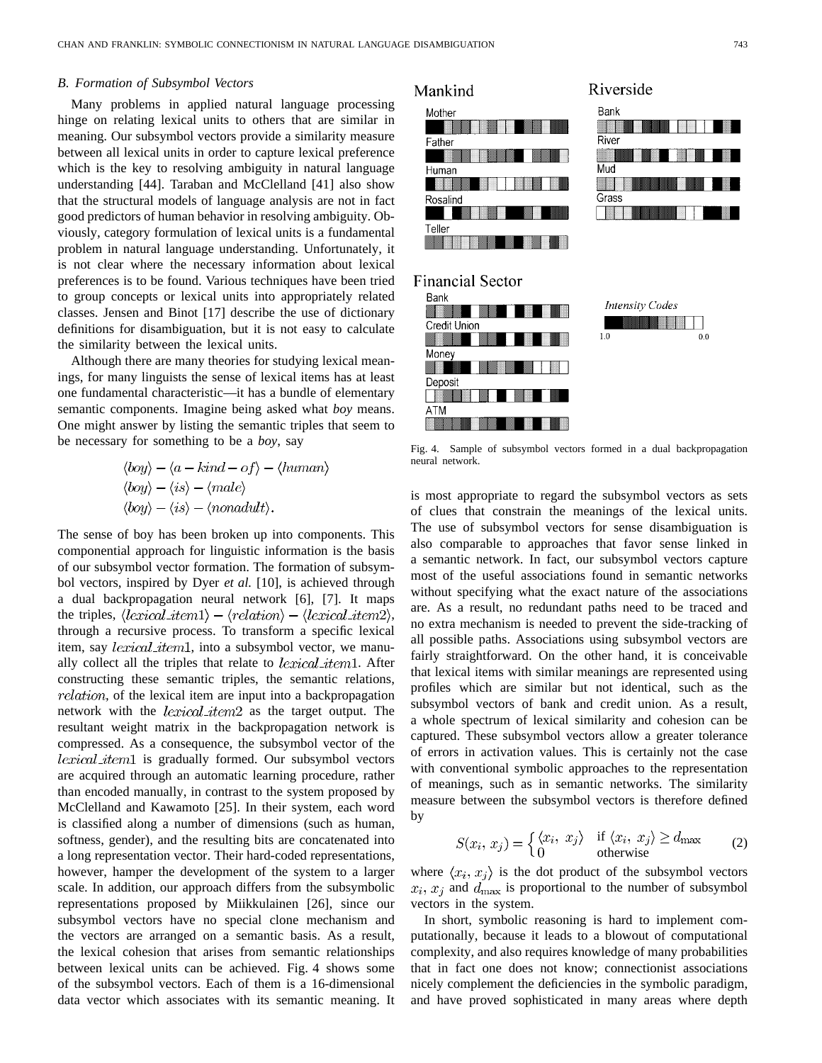#### *B. Formation of Subsymbol Vectors*

Many problems in applied natural language processing hinge on relating lexical units to others that are similar in meaning. Our subsymbol vectors provide a similarity measure between all lexical units in order to capture lexical preference which is the key to resolving ambiguity in natural language understanding [44]. Taraban and McClelland [41] also show that the structural models of language analysis are not in fact good predictors of human behavior in resolving ambiguity. Obviously, category formulation of lexical units is a fundamental problem in natural language understanding. Unfortunately, it is not clear where the necessary information about lexical preferences is to be found. Various techniques have been tried to group concepts or lexical units into appropriately related classes. Jensen and Binot [17] describe the use of dictionary definitions for disambiguation, but it is not easy to calculate the similarity between the lexical units.

Although there are many theories for studying lexical meanings, for many linguists the sense of lexical items has at least one fundamental characteristic—it has a bundle of elementary semantic components. Imagine being asked what *boy* means. One might answer by listing the semantic triples that seem to be necessary for something to be a *boy*, say

$$
\langle boy \rangle - \langle a - kind - of \rangle - \langle human \rangle
$$
  

$$
\langle boy \rangle - \langle is \rangle - \langle male \rangle
$$
  

$$
\langle boy \rangle - \langle is \rangle - \langle nonadult \rangle.
$$

The sense of boy has been broken up into components. This componential approach for linguistic information is the basis of our subsymbol vector formation. The formation of subsymbol vectors, inspired by Dyer *et al.* [10], is achieved through a dual backpropagation neural network [6], [7]. It maps the triples,  $\langle lexical\_item1 \rangle - \langle relation \rangle - \langle lexical\_item2 \rangle$ , through a recursive process. To transform a specific lexical item, say *lexical item*1, into a subsymbol vector, we manually collect all the triples that relate to  $lexical\_item1$ . After constructing these semantic triples, the semantic relations,  $relation$ , of the lexical item are input into a backpropagation network with the *lexical item*2 as the target output. The resultant weight matrix in the backpropagation network is compressed. As a consequence, the subsymbol vector of the  $lexical\ item1$  is gradually formed. Our subsymbol vectors are acquired through an automatic learning procedure, rather than encoded manually, in contrast to the system proposed by McClelland and Kawamoto [25]. In their system, each word is classified along a number of dimensions (such as human, softness, gender), and the resulting bits are concatenated into a long representation vector. Their hard-coded representations, however, hamper the development of the system to a larger scale. In addition, our approach differs from the subsymbolic representations proposed by Miikkulainen [26], since our subsymbol vectors have no special clone mechanism and the vectors are arranged on a semantic basis. As a result, the lexical cohesion that arises from semantic relationships between lexical units can be achieved. Fig. 4 shows some of the subsymbol vectors. Each of them is a 16-dimensional data vector which associates with its semantic meaning. It



Fig. 4. Sample of subsymbol vectors formed in a dual backpropagation neural network.

is most appropriate to regard the subsymbol vectors as sets of clues that constrain the meanings of the lexical units. The use of subsymbol vectors for sense disambiguation is also comparable to approaches that favor sense linked in a semantic network. In fact, our subsymbol vectors capture most of the useful associations found in semantic networks without specifying what the exact nature of the associations are. As a result, no redundant paths need to be traced and no extra mechanism is needed to prevent the side-tracking of all possible paths. Associations using subsymbol vectors are fairly straightforward. On the other hand, it is conceivable that lexical items with similar meanings are represented using profiles which are similar but not identical, such as the subsymbol vectors of bank and credit union. As a result, a whole spectrum of lexical similarity and cohesion can be captured. These subsymbol vectors allow a greater tolerance of errors in activation values. This is certainly not the case with conventional symbolic approaches to the representation of meanings, such as in semantic networks. The similarity measure between the subsymbol vectors is therefore defined by

$$
S(x_i, x_j) = \begin{cases} \langle x_i, x_j \rangle & \text{if } \langle x_i, x_j \rangle \ge d_{\text{max}} \\ 0 & \text{otherwise} \end{cases}
$$
 (2)

where  $\langle x_i, x_j \rangle$  is the dot product of the subsymbol vectors  $x_i, x_j$  and  $d_{\text{max}}$  is proportional to the number of subsymbol vectors in the system.

In short, symbolic reasoning is hard to implement computationally, because it leads to a blowout of computational complexity, and also requires knowledge of many probabilities that in fact one does not know; connectionist associations nicely complement the deficiencies in the symbolic paradigm, and have proved sophisticated in many areas where depth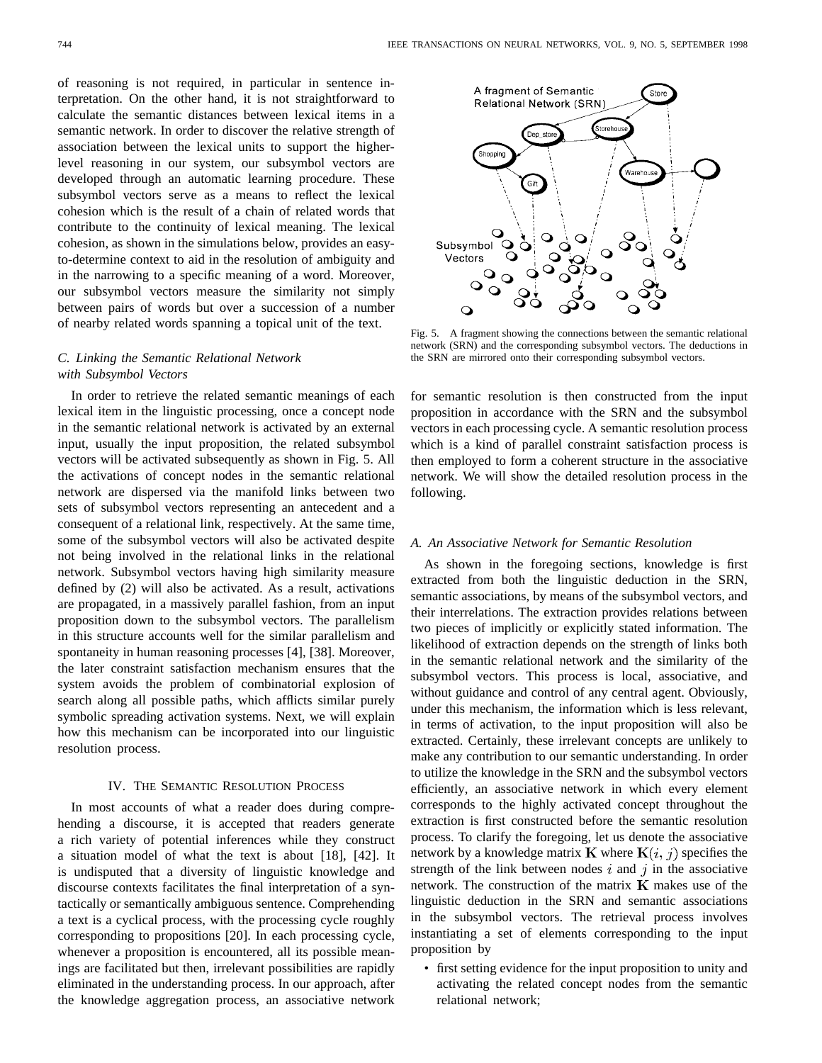of reasoning is not required, in particular in sentence interpretation. On the other hand, it is not straightforward to calculate the semantic distances between lexical items in a semantic network. In order to discover the relative strength of association between the lexical units to support the higherlevel reasoning in our system, our subsymbol vectors are developed through an automatic learning procedure. These subsymbol vectors serve as a means to reflect the lexical cohesion which is the result of a chain of related words that contribute to the continuity of lexical meaning. The lexical cohesion, as shown in the simulations below, provides an easyto-determine context to aid in the resolution of ambiguity and in the narrowing to a specific meaning of a word. Moreover, our subsymbol vectors measure the similarity not simply between pairs of words but over a succession of a number of nearby related words spanning a topical unit of the text.

## *C. Linking the Semantic Relational Network with Subsymbol Vectors*

In order to retrieve the related semantic meanings of each lexical item in the linguistic processing, once a concept node in the semantic relational network is activated by an external input, usually the input proposition, the related subsymbol vectors will be activated subsequently as shown in Fig. 5. All the activations of concept nodes in the semantic relational network are dispersed via the manifold links between two sets of subsymbol vectors representing an antecedent and a consequent of a relational link, respectively. At the same time, some of the subsymbol vectors will also be activated despite not being involved in the relational links in the relational network. Subsymbol vectors having high similarity measure defined by (2) will also be activated. As a result, activations are propagated, in a massively parallel fashion, from an input proposition down to the subsymbol vectors. The parallelism in this structure accounts well for the similar parallelism and spontaneity in human reasoning processes [4], [38]. Moreover, the later constraint satisfaction mechanism ensures that the system avoids the problem of combinatorial explosion of search along all possible paths, which afflicts similar purely symbolic spreading activation systems. Next, we will explain how this mechanism can be incorporated into our linguistic resolution process.

## IV. THE SEMANTIC RESOLUTION PROCESS

In most accounts of what a reader does during comprehending a discourse, it is accepted that readers generate a rich variety of potential inferences while they construct a situation model of what the text is about [18], [42]. It is undisputed that a diversity of linguistic knowledge and discourse contexts facilitates the final interpretation of a syntactically or semantically ambiguous sentence. Comprehending a text is a cyclical process, with the processing cycle roughly corresponding to propositions [20]. In each processing cycle, whenever a proposition is encountered, all its possible meanings are facilitated but then, irrelevant possibilities are rapidly eliminated in the understanding process. In our approach, after the knowledge aggregation process, an associative network



Fig. 5. A fragment showing the connections between the semantic relational network (SRN) and the corresponding subsymbol vectors. The deductions in the SRN are mirrored onto their corresponding subsymbol vectors.

for semantic resolution is then constructed from the input proposition in accordance with the SRN and the subsymbol vectors in each processing cycle. A semantic resolution process which is a kind of parallel constraint satisfaction process is then employed to form a coherent structure in the associative network. We will show the detailed resolution process in the following.

#### *A. An Associative Network for Semantic Resolution*

As shown in the foregoing sections, knowledge is first extracted from both the linguistic deduction in the SRN, semantic associations, by means of the subsymbol vectors, and their interrelations. The extraction provides relations between two pieces of implicitly or explicitly stated information. The likelihood of extraction depends on the strength of links both in the semantic relational network and the similarity of the subsymbol vectors. This process is local, associative, and without guidance and control of any central agent. Obviously, under this mechanism, the information which is less relevant, in terms of activation, to the input proposition will also be extracted. Certainly, these irrelevant concepts are unlikely to make any contribution to our semantic understanding. In order to utilize the knowledge in the SRN and the subsymbol vectors efficiently, an associative network in which every element corresponds to the highly activated concept throughout the extraction is first constructed before the semantic resolution process. To clarify the foregoing, let us denote the associative network by a knowledge matrix **K** where  $\mathbf{K}(i, j)$  specifies the strength of the link between nodes  $i$  and  $j$  in the associative network. The construction of the matrix  $K$  makes use of the linguistic deduction in the SRN and semantic associations in the subsymbol vectors. The retrieval process involves instantiating a set of elements corresponding to the input proposition by

• first setting evidence for the input proposition to unity and activating the related concept nodes from the semantic relational network;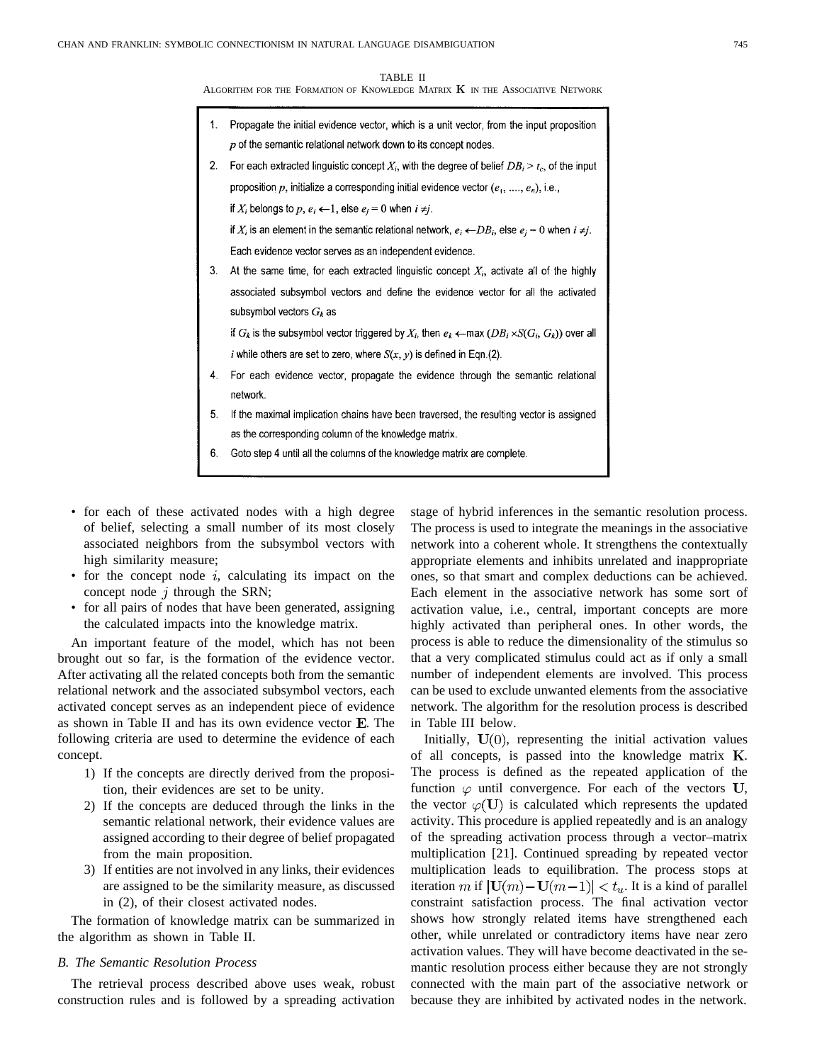#### TABLE II

ALGORITHM FOR THE FORMATION OF KNOWLEDGE MATRIX **K** IN THE ASSOCIATIVE NETWORK

| 1. | Propagate the initial evidence vector, which is a unit vector, from the input proposition                           |
|----|---------------------------------------------------------------------------------------------------------------------|
|    | $p$ of the semantic relational network down to its concept nodes.                                                   |
| 2. | For each extracted linguistic concept $X_i$ , with the degree of belief $DB_i > t_c$ , of the input                 |
|    | proposition p, initialize a corresponding initial evidence vector $(e_1, , e_n)$ , i.e.,                            |
|    | if $X_i$ belongs to $p, e_i \leftarrow 1$ , else $e_i = 0$ when $i \neq j$ .                                        |
|    | if $X_i$ is an element in the semantic relational network, $e_i \leftarrow DB_i$ , else $e_i = 0$ when $i \neq j$ . |
|    | Each evidence vector serves as an independent evidence.                                                             |
| 3. | At the same time, for each extracted linguistic concept $X_i$ , activate all of the highly                          |
|    | associated subsymbol vectors and define the evidence vector for all the activated                                   |
|    | subsymbol vectors $G_k$ as                                                                                          |
|    | if $G_k$ is the subsymbol vector triggered by $X_i$ , then $e_k \leftarrow \max(DB_i \times S(G_i, G_k))$ over all  |
|    | <i>i</i> while others are set to zero, where $S(x, y)$ is defined in Eqn.(2).                                       |
| 4. | For each evidence vector, propagate the evidence through the semantic relational                                    |
|    | network.                                                                                                            |
| 5. | If the maximal implication chains have been traversed, the resulting vector is assigned                             |
|    | as the corresponding column of the knowledge matrix.                                                                |
| 6. | Goto step 4 until all the columns of the knowledge matrix are complete.                                             |

- for each of these activated nodes with a high degree of belief, selecting a small number of its most closely associated neighbors from the subsymbol vectors with high similarity measure;
- for the concept node  $i$ , calculating its impact on the concept node  $j$  through the SRN;
- for all pairs of nodes that have been generated, assigning the calculated impacts into the knowledge matrix.

An important feature of the model, which has not been brought out so far, is the formation of the evidence vector. After activating all the related concepts both from the semantic relational network and the associated subsymbol vectors, each activated concept serves as an independent piece of evidence as shown in Table II and has its own evidence vector  $E$ . The following criteria are used to determine the evidence of each concept.

- 1) If the concepts are directly derived from the proposition, their evidences are set to be unity.
- 2) If the concepts are deduced through the links in the semantic relational network, their evidence values are assigned according to their degree of belief propagated from the main proposition.
- 3) If entities are not involved in any links, their evidences are assigned to be the similarity measure, as discussed in (2), of their closest activated nodes.

The formation of knowledge matrix can be summarized in the algorithm as shown in Table II.

## *B. The Semantic Resolution Process*

The retrieval process described above uses weak, robust construction rules and is followed by a spreading activation stage of hybrid inferences in the semantic resolution process. The process is used to integrate the meanings in the associative network into a coherent whole. It strengthens the contextually appropriate elements and inhibits unrelated and inappropriate ones, so that smart and complex deductions can be achieved. Each element in the associative network has some sort of activation value, i.e., central, important concepts are more highly activated than peripheral ones. In other words, the process is able to reduce the dimensionality of the stimulus so that a very complicated stimulus could act as if only a small number of independent elements are involved. This process can be used to exclude unwanted elements from the associative network. The algorithm for the resolution process is described in Table III below.

Initially,  $U(0)$ , representing the initial activation values of all concepts, is passed into the knowledge matrix  $K$ . The process is defined as the repeated application of the function  $\varphi$  until convergence. For each of the vectors U, the vector  $\varphi(\mathbf{U})$  is calculated which represents the updated activity. This procedure is applied repeatedly and is an analogy of the spreading activation process through a vector–matrix multiplication [21]. Continued spreading by repeated vector multiplication leads to equilibration. The process stops at iteration m if  $|\mathbf{U}(m) - \mathbf{U}(m-1)| < t_u$ . It is a kind of parallel constraint satisfaction process. The final activation vector shows how strongly related items have strengthened each other, while unrelated or contradictory items have near zero activation values. They will have become deactivated in the semantic resolution process either because they are not strongly connected with the main part of the associative network or because they are inhibited by activated nodes in the network.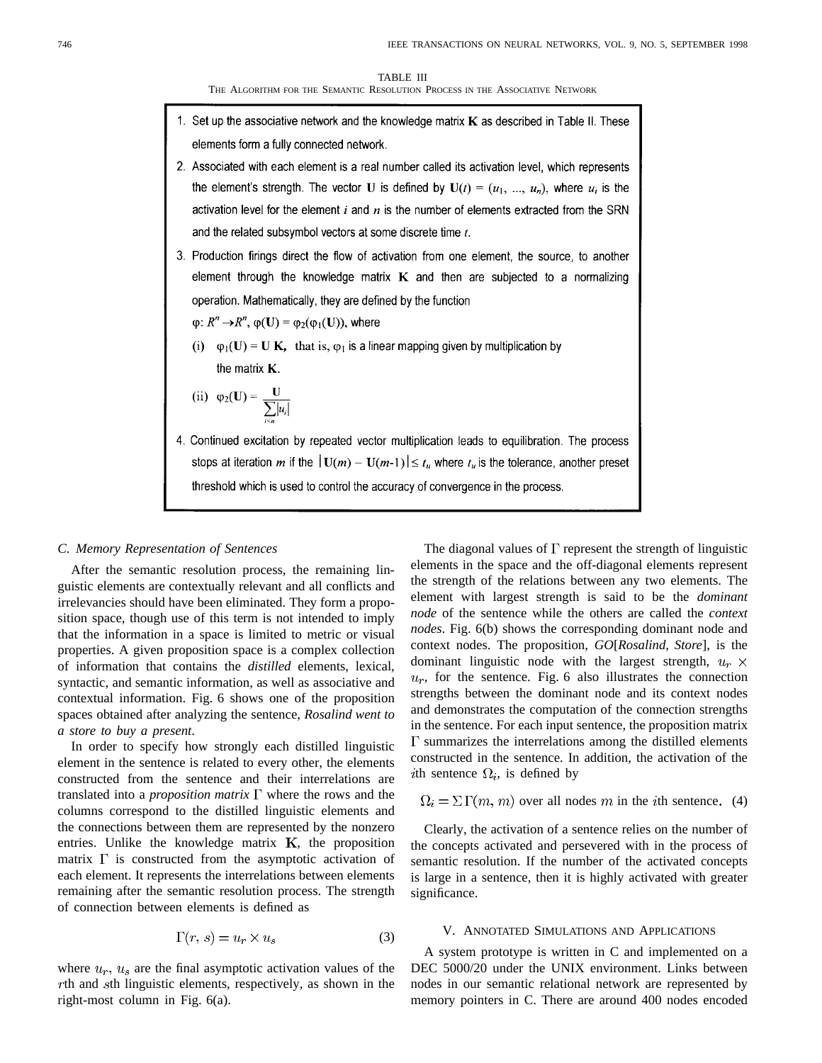

THE ALGORITHM FOR THE SEMANTIC RESOLUTION PROCESS IN THE ASSOCIATIVE NETWORK

- 1. Set up the associative network and the knowledge matrix K as described in Table II. These elements form a fully connected network.
- 2. Associated with each element is a real number called its activation level, which represents the element's strength. The vector U is defined by  $U(t) = (u_1, ..., u_n)$ , where  $u_i$  is the activation level for the element  $i$  and  $n$  is the number of elements extracted from the SRN and the related subsymbol vectors at some discrete time  $t$ .
- 3. Production firings direct the flow of activation from one element, the source, to another element through the knowledge matrix  $K$  and then are subjected to a normalizing operation. Mathematically, they are defined by the function

 $\varphi: R^n \to R^n$ ,  $\varphi(U) = \varphi_2(\varphi_1(U))$ , where

(i)  $\varphi_1(\mathbf{U}) = \mathbf{U} \mathbf{K}$ , that is,  $\varphi_1$  is a linear mapping given by multiplication by the matrix  $K$ .

(ii) 
$$
\varphi_2(\mathbf{U}) = \frac{\mathbf{U}}{\sum_{i \in \mathbb{N}} |u_i|}
$$

4. Continued excitation by repeated vector multiplication leads to equilibration. The process stops at iteration m if the  $|U(m) - U(m-1)| \le t_u$  where  $t_u$  is the tolerance, another preset threshold which is used to control the accuracy of convergence in the process.

## *C. Memory Representation of Sentences*

After the semantic resolution process, the remaining linguistic elements are contextually relevant and all conflicts and irrelevancies should have been eliminated. They form a proposition space, though use of this term is not intended to imply that the information in a space is limited to metric or visual properties. A given proposition space is a complex collection of information that contains the *distilled* elements, lexical, syntactic, and semantic information, as well as associative and contextual information. Fig. 6 shows one of the proposition spaces obtained after analyzing the sentence, *Rosalind went to a store to buy a present*.

In order to specify how strongly each distilled linguistic element in the sentence is related to every other, the elements constructed from the sentence and their interrelations are translated into a *proposition matrix*  $\Gamma$  where the rows and the columns correspond to the distilled linguistic elements and the connections between them are represented by the nonzero entries. Unlike the knowledge matrix  $K$ , the proposition matrix  $\Gamma$  is constructed from the asymptotic activation of each element. It represents the interrelations between elements remaining after the semantic resolution process. The strength of connection between elements is defined as

$$
\Gamma(r, s) = u_r \times u_s \tag{3}
$$

where  $u_r$ ,  $u_s$  are the final asymptotic activation values of the  $r$ th and  $s$ th linguistic elements, respectively, as shown in the right-most column in Fig. 6(a).

The diagonal values of  $\Gamma$  represent the strength of linguistic elements in the space and the off-diagonal elements represent the strength of the relations between any two elements. The element with largest strength is said to be the *dominant node* of the sentence while the others are called the *context nodes*. Fig. 6(b) shows the corresponding dominant node and context nodes. The proposition, *GO*[*Rosalind, Store*], is the dominant linguistic node with the largest strength,  $u_r \times$  $u_r$ , for the sentence. Fig. 6 also illustrates the connection strengths between the dominant node and its context nodes and demonstrates the computation of the connection strengths in the sentence. For each input sentence, the proposition matrix  $\Gamma$  summarizes the interrelations among the distilled elements constructed in the sentence. In addition, the activation of the ith sentence  $\Omega_i$ , is defined by

$$
\Omega_i = \Sigma \Gamma(m, m)
$$
 over all nodes m in the *i*th sentence. (4)

Clearly, the activation of a sentence relies on the number of the concepts activated and persevered with in the process of semantic resolution. If the number of the activated concepts is large in a sentence, then it is highly activated with greater significance.

#### V. ANNOTATED SIMULATIONS AND APPLICATIONS

A system prototype is written in C and implemented on a DEC 5000/20 under the UNIX environment. Links between nodes in our semantic relational network are represented by memory pointers in C. There are around 400 nodes encoded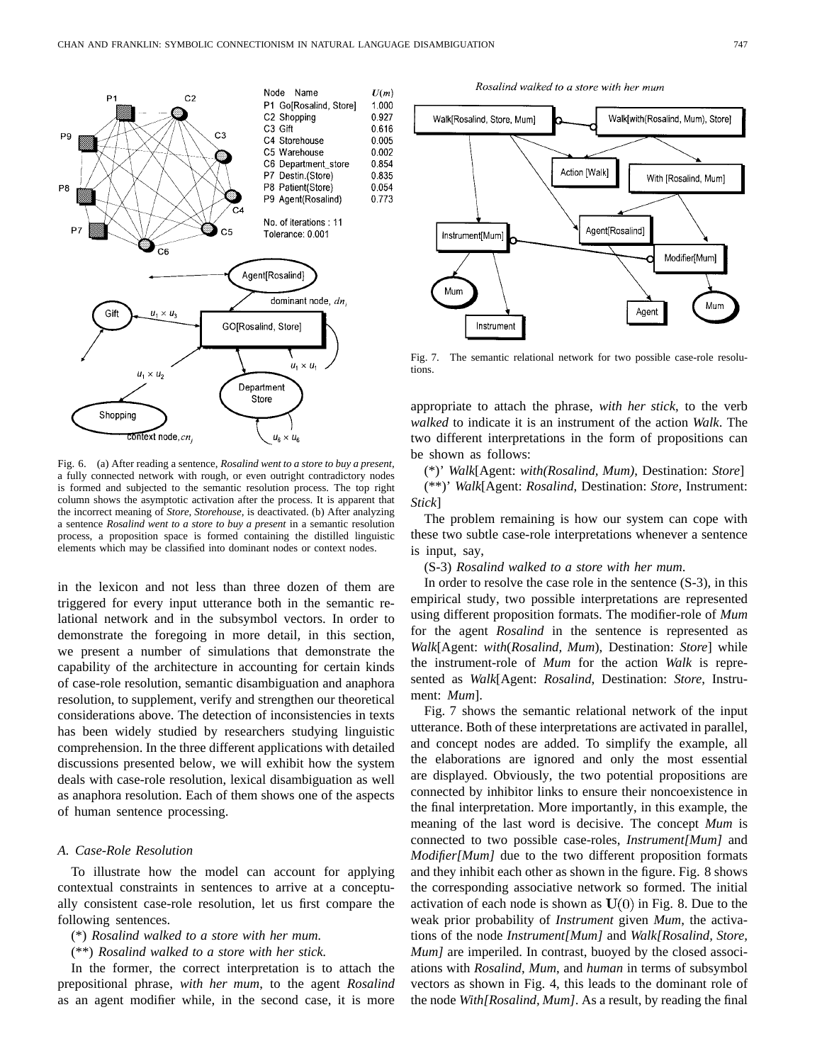

Fig. 6. (a) After reading a sentence, *Rosalind went to a store to buy a present*, a fully connected network with rough, or even outright contradictory nodes is formed and subjected to the semantic resolution process. The top right column shows the asymptotic activation after the process. It is apparent that the incorrect meaning of *Store, Storehouse,* is deactivated. (b) After analyzing a sentence *Rosalind went to a store to buy a present* in a semantic resolution process, a proposition space is formed containing the distilled linguistic elements which may be classified into dominant nodes or context nodes.

in the lexicon and not less than three dozen of them are triggered for every input utterance both in the semantic relational network and in the subsymbol vectors. In order to demonstrate the foregoing in more detail, in this section, we present a number of simulations that demonstrate the capability of the architecture in accounting for certain kinds of case-role resolution, semantic disambiguation and anaphora resolution, to supplement, verify and strengthen our theoretical considerations above. The detection of inconsistencies in texts has been widely studied by researchers studying linguistic comprehension. In the three different applications with detailed discussions presented below, we will exhibit how the system deals with case-role resolution, lexical disambiguation as well as anaphora resolution. Each of them shows one of the aspects of human sentence processing.

### *A. Case-Role Resolution*

To illustrate how the model can account for applying contextual constraints in sentences to arrive at a conceptually consistent case-role resolution, let us first compare the following sentences.

(\*) *Rosalind walked to a store with her mum.*

(\*\*) *Rosalind walked to a store with her stick.*

In the former, the correct interpretation is to attach the prepositional phrase, *with her mum*, to the agent *Rosalind* as an agent modifier while, in the second case, it is more Rosalind walked to a store with her mum



Fig. 7. The semantic relational network for two possible case-role resolutions.

appropriate to attach the phrase, *with her stick*, to the verb *walked* to indicate it is an instrument of the action *Walk*. The two different interpretations in the form of propositions can be shown as follows:

(\*)' *Walk*[Agent: *with(Rosalind, Mum)*, Destination: *Store*] (\*\*)' *Walk*[Agent: *Rosalind*, Destination: *Store*, Instrument: *Stick*]

The problem remaining is how our system can cope with these two subtle case-role interpretations whenever a sentence is input, say,

(S-3) *Rosalind walked to a store with her mum*.

In order to resolve the case role in the sentence (S-3), in this empirical study, two possible interpretations are represented using different proposition formats. The modifier-role of *Mum* for the agent *Rosalind* in the sentence is represented as *Walk*[Agent: *with*(*Rosalind, Mum*), Destination: *Store*] while the instrument-role of *Mum* for the action *Walk* is represented as *Walk*[Agent: *Rosalind*, Destination: *Store*, Instrument: *Mum*].

Fig. 7 shows the semantic relational network of the input utterance. Both of these interpretations are activated in parallel, and concept nodes are added. To simplify the example, all the elaborations are ignored and only the most essential are displayed. Obviously, the two potential propositions are connected by inhibitor links to ensure their noncoexistence in the final interpretation. More importantly, in this example, the meaning of the last word is decisive. The concept *Mum* is connected to two possible case-roles, *Instrument[Mum]* and *Modifier[Mum]* due to the two different proposition formats and they inhibit each other as shown in the figure. Fig. 8 shows the corresponding associative network so formed. The initial activation of each node is shown as  $U(0)$  in Fig. 8. Due to the weak prior probability of *Instrument* given *Mum*, the activations of the node *Instrument[Mum]* and *Walk[Rosalind, Store, Mum]* are imperiled. In contrast, buoyed by the closed associations with *Rosalind*, *Mum*, and *human* in terms of subsymbol vectors as shown in Fig. 4, this leads to the dominant role of the node *With[Rosalind, Mum]*. As a result, by reading the final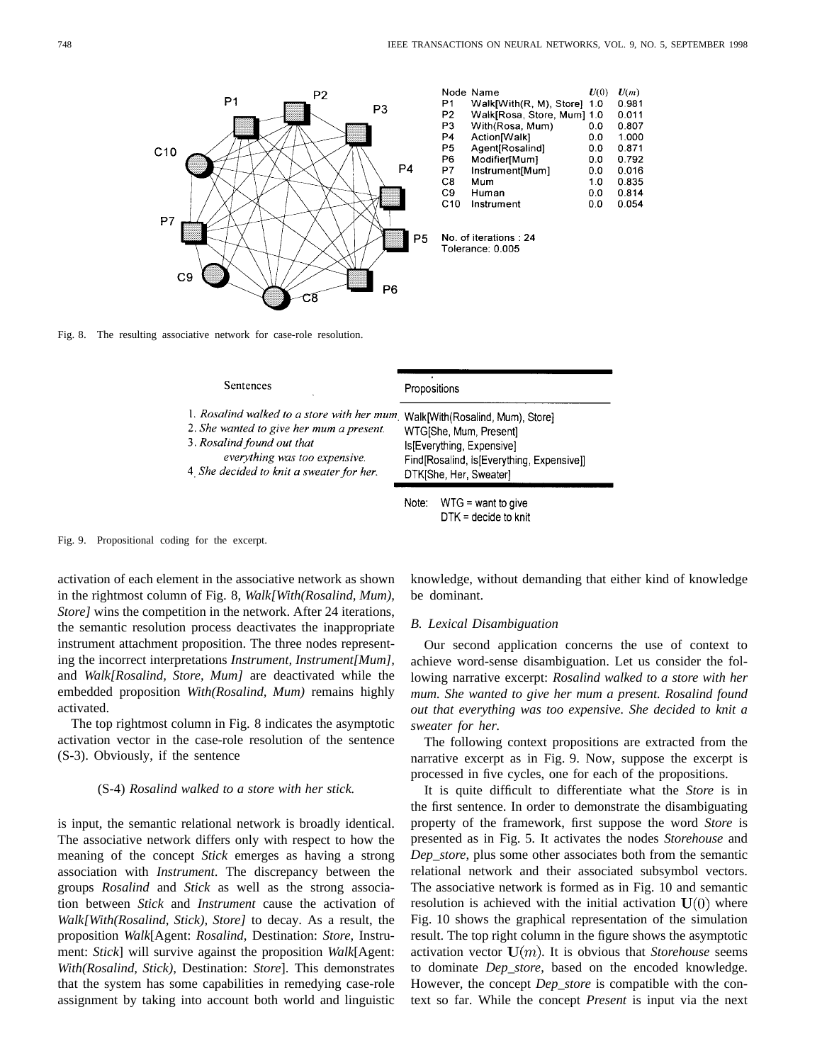

Fig. 8. The resulting associative network for case-role resolution.

| Sentences                                                                                                                                                                                                                           | Propositions                                                                                                                |
|-------------------------------------------------------------------------------------------------------------------------------------------------------------------------------------------------------------------------------------|-----------------------------------------------------------------------------------------------------------------------------|
| 1. Rosalind walked to a store with her mum. Walk[With(Rosalind, Mum), Store]<br>2. She wanted to give her mum a present.<br>3. Rosalind found out that<br>everything was too expensive.<br>4 She decided to knit a sweater for her. | WTG[She, Mum, Present]<br>Is [Everything, Expensive]<br>Find[Rosalind, Is[Everything, Expensive]]<br>DTK[She, Her, Sweater] |
|                                                                                                                                                                                                                                     | $WTG =$ want to give<br>Note:                                                                                               |

Fig. 9. Propositional coding for the excerpt.

activation of each element in the associative network as shown in the rightmost column of Fig. 8, *Walk[With(Rosalind, Mum), Store]* wins the competition in the network. After 24 iterations, the semantic resolution process deactivates the inappropriate instrument attachment proposition. The three nodes representing the incorrect interpretations *Instrument, Instrument[Mum],* and *Walk[Rosalind, Store, Mum]* are deactivated while the embedded proposition *With(Rosalind, Mum)* remains highly activated.

The top rightmost column in Fig. 8 indicates the asymptotic activation vector in the case-role resolution of the sentence (S-3). Obviously, if the sentence

#### (S-4) *Rosalind walked to a store with her stick.*

is input, the semantic relational network is broadly identical. The associative network differs only with respect to how the meaning of the concept *Stick* emerges as having a strong association with *Instrument*. The discrepancy between the groups *Rosalind* and *Stick* as well as the strong association between *Stick* and *Instrument* cause the activation of *Walk[With(Rosalind, Stick), Store]* to decay. As a result, the proposition *Walk*[Agent: *Rosalind*, Destination: *Store*, Instrument: *Stick*] will survive against the proposition *Walk*[Agent: *With(Rosalind, Stick)*, Destination: *Store*]. This demonstrates that the system has some capabilities in remedying case-role assignment by taking into account both world and linguistic knowledge, without demanding that either kind of knowledge be dominant.

## *B. Lexical Disambiguation*

 $DTK = decide to knit$ 

Our second application concerns the use of context to achieve word-sense disambiguation. Let us consider the following narrative excerpt: *Rosalind walked to a store with her mum. She wanted to give her mum a present. Rosalind found out that everything was too expensive. She decided to knit a sweater for her.*

The following context propositions are extracted from the narrative excerpt as in Fig. 9. Now, suppose the excerpt is processed in five cycles, one for each of the propositions.

It is quite difficult to differentiate what the *Store* is in the first sentence. In order to demonstrate the disambiguating property of the framework, first suppose the word *Store* is presented as in Fig. 5. It activates the nodes *Storehouse* and *Dep\_store*, plus some other associates both from the semantic relational network and their associated subsymbol vectors. The associative network is formed as in Fig. 10 and semantic resolution is achieved with the initial activation  $U(0)$  where Fig. 10 shows the graphical representation of the simulation result. The top right column in the figure shows the asymptotic activation vector  $U(m)$ . It is obvious that *Storehouse* seems to dominate *Dep\_store*, based on the encoded knowledge. However, the concept *Dep\_store* is compatible with the context so far. While the concept *Present* is input via the next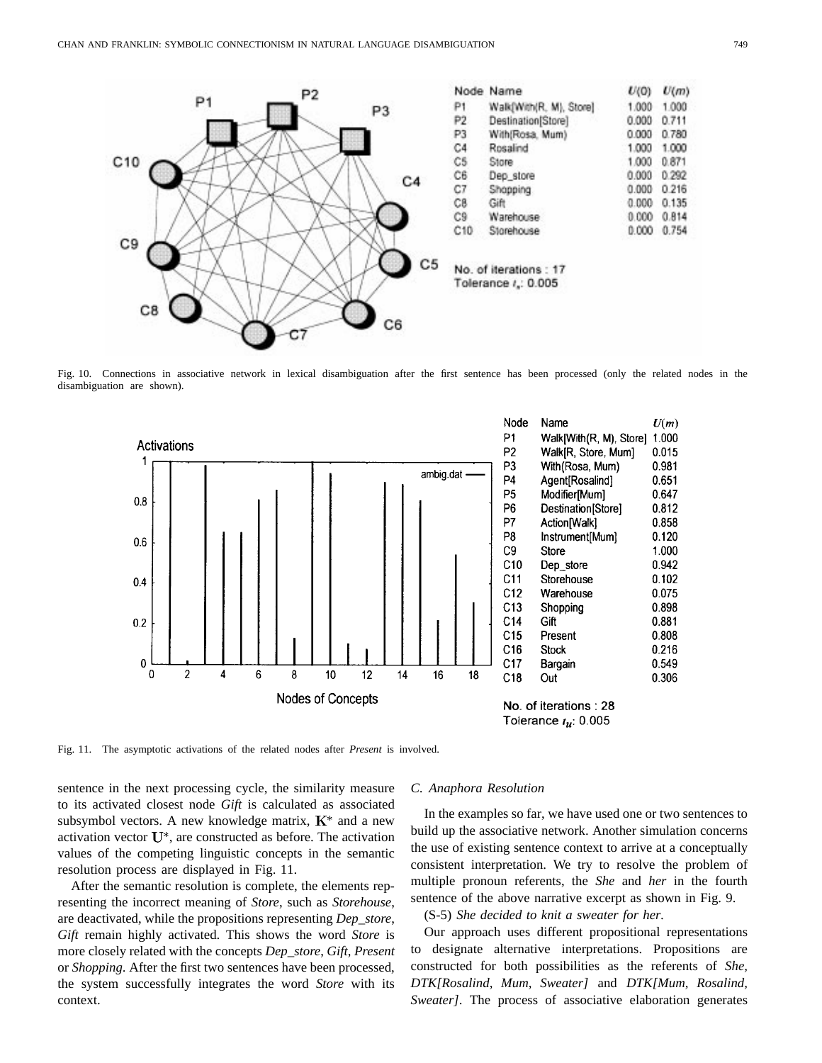

Fig. 10. Connections in associative network in lexical disambiguation after the first sentence has been processed (only the related nodes in the disambiguation are shown).



Fig. 11. The asymptotic activations of the related nodes after *Present* is involved.

sentence in the next processing cycle, the similarity measure to its activated closest node *Gift* is calculated as associated subsymbol vectors. A new knowledge matrix,  $K^*$  and a new activation vector  $U^*$ , are constructed as before. The activation values of the competing linguistic concepts in the semantic resolution process are displayed in Fig. 11.

After the semantic resolution is complete, the elements representing the incorrect meaning of *Store*, such as *Storehouse*, are deactivated, while the propositions representing *Dep\_store*, *Gift* remain highly activated. This shows the word *Store* is more closely related with the concepts *Dep\_store*, *Gift*, *Present* or *Shopping*. After the first two sentences have been processed, the system successfully integrates the word *Store* with its context.

#### *C. Anaphora Resolution*

In the examples so far, we have used one or two sentences to build up the associative network. Another simulation concerns the use of existing sentence context to arrive at a conceptually consistent interpretation. We try to resolve the problem of multiple pronoun referents, the *She* and *her* in the fourth sentence of the above narrative excerpt as shown in Fig. 9.

(S-5) *She decided to knit a sweater for her.*

Our approach uses different propositional representations to designate alternative interpretations. Propositions are constructed for both possibilities as the referents of *She, DTK[Rosalind, Mum, Sweater]* and *DTK[Mum, Rosalind, Sweater]*. The process of associative elaboration generates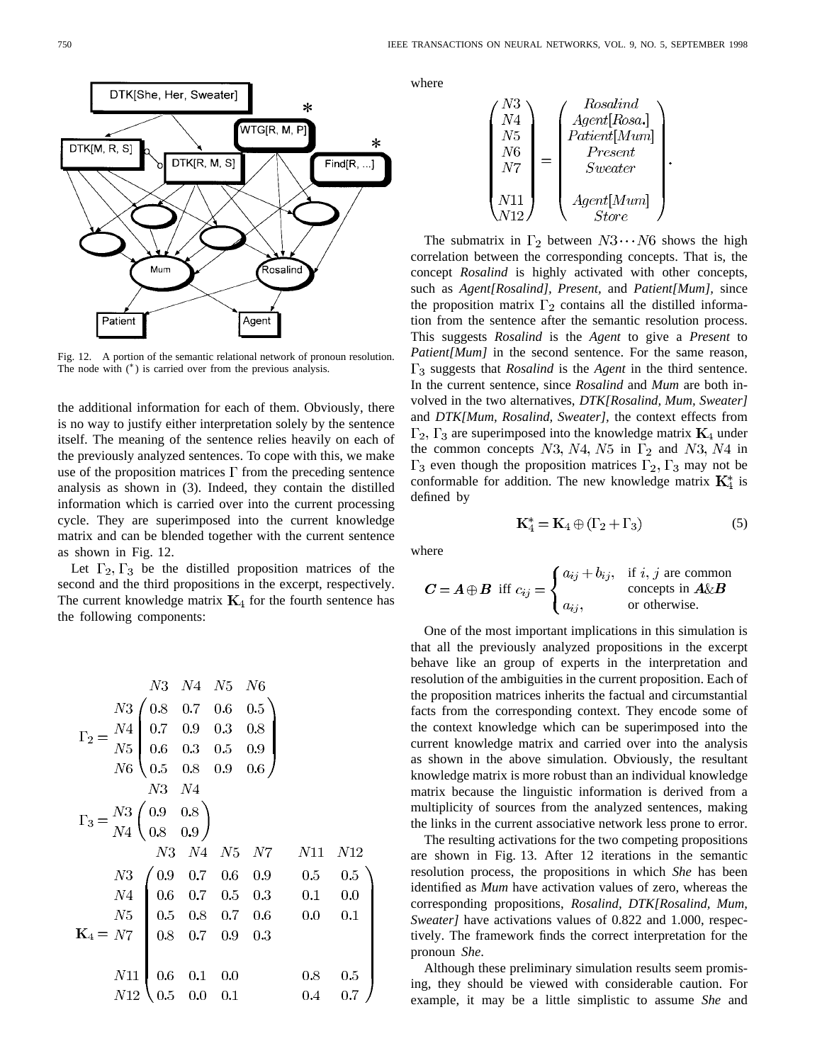

Fig. 12. A portion of the semantic relational network of pronoun resolution. The node with  $(*)$  is carried over from the previous analysis.

the additional information for each of them. Obviously, there is no way to justify either interpretation solely by the sentence itself. The meaning of the sentence relies heavily on each of the previously analyzed sentences. To cope with this, we make use of the proposition matrices  $\Gamma$  from the preceding sentence analysis as shown in (3). Indeed, they contain the distilled information which is carried over into the current processing cycle. They are superimposed into the current knowledge matrix and can be blended together with the current sentence as shown in Fig. 12.

Let  $\Gamma_2, \Gamma_3$  be the distilled proposition matrices of the second and the third propositions in the excerpt, respectively. The current knowledge matrix  $K_4$  for the fourth sentence has the following components:

$$
N3 \tN4 \tN5 \tN6
$$
\n
$$
\Gamma_2 = N4 \begin{pmatrix}\n0.8 & 0.7 & 0.6 & 0.5 \\
0.8 & 0.7 & 0.9 & 0.3 & 0.8 \\
0.7 & 0.9 & 0.3 & 0.8 \\
0.6 & 0.3 & 0.5 & 0.9 \\
0.5 & 0.8 & 0.9 & 0.6\n\end{pmatrix}
$$
\n
$$
N3 \tN4
$$
\n
$$
\Gamma_3 = \frac{N3}{N4} \begin{pmatrix}\n0.9 & 0.8 \\
0.8 & 0.9\n\end{pmatrix}
$$
\n
$$
N3 \tN4 \tN5 \tN7 \tN11 \tN12
$$
\n
$$
N3 \tN4 \tN5 \tN7 \tN11 \tN12
$$
\n
$$
N4 \t(0.8 & 0.7 & 0.6 & 0.9 & 0.5 & 0.5 \\
0.8 & 0.7 & 0.5 & 0.3 & 0.1 & 0.0 \\
0.8 & 0.7 & 0.9 & 0.3 & 0.1 \\
0.8 & 0.7 & 0.9 & 0.3 & 0.5 \\
0.1 & 0.0 & 0.8 & 0.5 \\
0.1 & 0.0 & 0.8 & 0.5 \\
0.1 & 0.0 & 0.4 & 0.7\n\end{pmatrix}
$$

where



The submatrix in  $\Gamma_2$  between  $N3 \cdots N6$  shows the high correlation between the corresponding concepts. That is, the concept *Rosalind* is highly activated with other concepts, such as *Agent[Rosalind], Present,* and *Patient[Mum],* since the proposition matrix  $\Gamma_2$  contains all the distilled information from the sentence after the semantic resolution process. This suggests *Rosalind* is the *Agent* to give a *Present* to *Patient[Mum]* in the second sentence. For the same reason,  $\Gamma_3$  suggests that *Rosalind* is the *Agent* in the third sentence. In the current sentence, since *Rosalind* and *Mum* are both involved in the two alternatives, *DTK[Rosalind, Mum, Sweater]* and *DTK[Mum, Rosalind, Sweater],* the context effects from  $\Gamma_2$ ,  $\Gamma_3$  are superimposed into the knowledge matrix  $\mathbf{K}_4$  under the common concepts N3, N4, N5 in  $\Gamma_2$  and N3, N4 in  $\Gamma_3$  even though the proposition matrices  $\Gamma_2$ ,  $\Gamma_3$  may not be conformable for addition. The new knowledge matrix  $K_4^*$  is defined by

$$
\mathbf{K}_4^* = \mathbf{K}_4 \oplus (\Gamma_2 + \Gamma_3) \tag{5}
$$

where

$$
C = A \oplus B \text{ iff } c_{ij} = \begin{cases} a_{ij} + b_{ij}, & \text{if } i, j \text{ are common} \\ a_{ij}, & \text{onepts in } A \& B \\ a_{ij}, & \text{or otherwise.} \end{cases}
$$

One of the most important implications in this simulation is that all the previously analyzed propositions in the excerpt behave like an group of experts in the interpretation and resolution of the ambiguities in the current proposition. Each of the proposition matrices inherits the factual and circumstantial facts from the corresponding context. They encode some of the context knowledge which can be superimposed into the current knowledge matrix and carried over into the analysis as shown in the above simulation. Obviously, the resultant knowledge matrix is more robust than an individual knowledge matrix because the linguistic information is derived from a multiplicity of sources from the analyzed sentences, making the links in the current associative network less prone to error.

The resulting activations for the two competing propositions are shown in Fig. 13. After 12 iterations in the semantic resolution process, the propositions in which *She* has been identified as *Mum* have activation values of zero, whereas the corresponding propositions, *Rosalind, DTK[Rosalind, Mum, Sweater]* have activations values of 0.822 and 1.000, respectively. The framework finds the correct interpretation for the pronoun *She*.

Although these preliminary simulation results seem promising, they should be viewed with considerable caution. For example, it may be a little simplistic to assume *She* and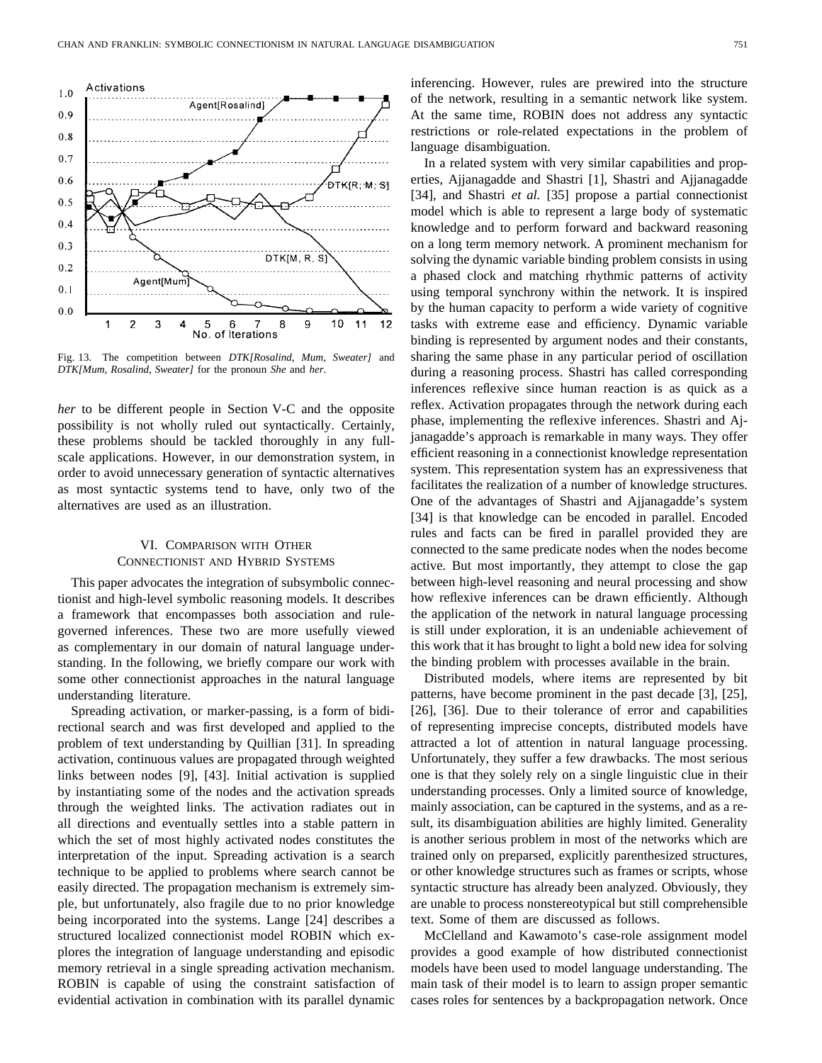

Fig. 13. The competition between *DTK[Rosalind, Mum, Sweater]* and *DTK[Mum, Rosalind, Sweater]* for the pronoun *She* and *her*.

*her* to be different people in Section V-C and the opposite possibility is not wholly ruled out syntactically. Certainly, these problems should be tackled thoroughly in any fullscale applications. However, in our demonstration system, in order to avoid unnecessary generation of syntactic alternatives as most syntactic systems tend to have, only two of the alternatives are used as an illustration.

## VI. COMPARISON WITH OTHER CONNECTIONIST AND HYBRID SYSTEMS

This paper advocates the integration of subsymbolic connectionist and high-level symbolic reasoning models. It describes a framework that encompasses both association and rulegoverned inferences. These two are more usefully viewed as complementary in our domain of natural language understanding. In the following, we briefly compare our work with some other connectionist approaches in the natural language understanding literature.

Spreading activation, or marker-passing, is a form of bidirectional search and was first developed and applied to the problem of text understanding by Quillian [31]. In spreading activation, continuous values are propagated through weighted links between nodes [9], [43]. Initial activation is supplied by instantiating some of the nodes and the activation spreads through the weighted links. The activation radiates out in all directions and eventually settles into a stable pattern in which the set of most highly activated nodes constitutes the interpretation of the input. Spreading activation is a search technique to be applied to problems where search cannot be easily directed. The propagation mechanism is extremely simple, but unfortunately, also fragile due to no prior knowledge being incorporated into the systems. Lange [24] describes a structured localized connectionist model ROBIN which explores the integration of language understanding and episodic memory retrieval in a single spreading activation mechanism. ROBIN is capable of using the constraint satisfaction of evidential activation in combination with its parallel dynamic

inferencing. However, rules are prewired into the structure of the network, resulting in a semantic network like system. At the same time, ROBIN does not address any syntactic restrictions or role-related expectations in the problem of language disambiguation.

In a related system with very similar capabilities and properties, Ajjanagadde and Shastri [1], Shastri and Ajjanagadde [34], and Shastri *et al.* [35] propose a partial connectionist model which is able to represent a large body of systematic knowledge and to perform forward and backward reasoning on a long term memory network. A prominent mechanism for solving the dynamic variable binding problem consists in using a phased clock and matching rhythmic patterns of activity using temporal synchrony within the network. It is inspired by the human capacity to perform a wide variety of cognitive tasks with extreme ease and efficiency. Dynamic variable binding is represented by argument nodes and their constants, sharing the same phase in any particular period of oscillation during a reasoning process. Shastri has called corresponding inferences reflexive since human reaction is as quick as a reflex. Activation propagates through the network during each phase, implementing the reflexive inferences. Shastri and Ajjanagadde's approach is remarkable in many ways. They offer efficient reasoning in a connectionist knowledge representation system. This representation system has an expressiveness that facilitates the realization of a number of knowledge structures. One of the advantages of Shastri and Ajjanagadde's system [34] is that knowledge can be encoded in parallel. Encoded rules and facts can be fired in parallel provided they are connected to the same predicate nodes when the nodes become active. But most importantly, they attempt to close the gap between high-level reasoning and neural processing and show how reflexive inferences can be drawn efficiently. Although the application of the network in natural language processing is still under exploration, it is an undeniable achievement of this work that it has brought to light a bold new idea for solving the binding problem with processes available in the brain.

Distributed models, where items are represented by bit patterns, have become prominent in the past decade [3], [25], [26], [36]. Due to their tolerance of error and capabilities of representing imprecise concepts, distributed models have attracted a lot of attention in natural language processing. Unfortunately, they suffer a few drawbacks. The most serious one is that they solely rely on a single linguistic clue in their understanding processes. Only a limited source of knowledge, mainly association, can be captured in the systems, and as a result, its disambiguation abilities are highly limited. Generality is another serious problem in most of the networks which are trained only on preparsed, explicitly parenthesized structures, or other knowledge structures such as frames or scripts, whose syntactic structure has already been analyzed. Obviously, they are unable to process nonstereotypical but still comprehensible text. Some of them are discussed as follows.

McClelland and Kawamoto's case-role assignment model provides a good example of how distributed connectionist models have been used to model language understanding. The main task of their model is to learn to assign proper semantic cases roles for sentences by a backpropagation network. Once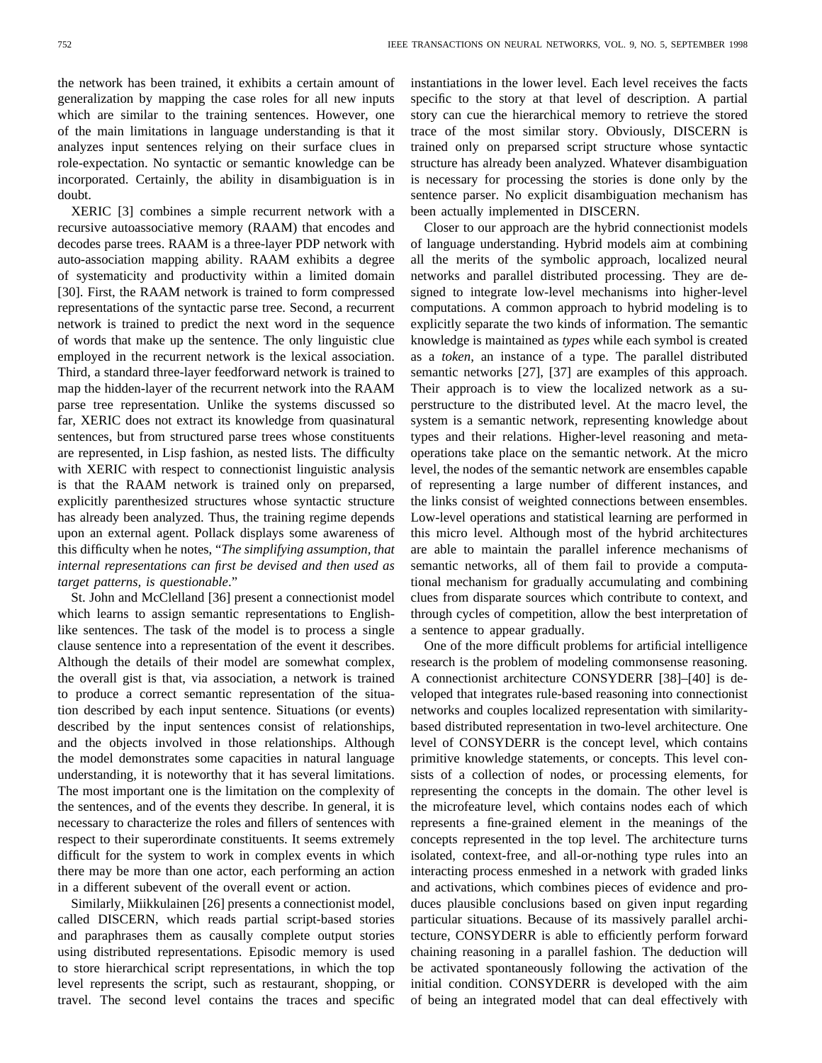the network has been trained, it exhibits a certain amount of generalization by mapping the case roles for all new inputs which are similar to the training sentences. However, one of the main limitations in language understanding is that it analyzes input sentences relying on their surface clues in role-expectation. No syntactic or semantic knowledge can be incorporated. Certainly, the ability in disambiguation is in doubt.

XERIC [3] combines a simple recurrent network with a recursive autoassociative memory (RAAM) that encodes and decodes parse trees. RAAM is a three-layer PDP network with auto-association mapping ability. RAAM exhibits a degree of systematicity and productivity within a limited domain [30]. First, the RAAM network is trained to form compressed representations of the syntactic parse tree. Second, a recurrent network is trained to predict the next word in the sequence of words that make up the sentence. The only linguistic clue employed in the recurrent network is the lexical association. Third, a standard three-layer feedforward network is trained to map the hidden-layer of the recurrent network into the RAAM parse tree representation. Unlike the systems discussed so far, XERIC does not extract its knowledge from quasinatural sentences, but from structured parse trees whose constituents are represented, in Lisp fashion, as nested lists. The difficulty with XERIC with respect to connectionist linguistic analysis is that the RAAM network is trained only on preparsed, explicitly parenthesized structures whose syntactic structure has already been analyzed. Thus, the training regime depends upon an external agent. Pollack displays some awareness of this difficulty when he notes, "*The simplifying assumption, that internal representations can first be devised and then used as target patterns, is questionable*."

St. John and McClelland [36] present a connectionist model which learns to assign semantic representations to Englishlike sentences. The task of the model is to process a single clause sentence into a representation of the event it describes. Although the details of their model are somewhat complex, the overall gist is that, via association, a network is trained to produce a correct semantic representation of the situation described by each input sentence. Situations (or events) described by the input sentences consist of relationships, and the objects involved in those relationships. Although the model demonstrates some capacities in natural language understanding, it is noteworthy that it has several limitations. The most important one is the limitation on the complexity of the sentences, and of the events they describe. In general, it is necessary to characterize the roles and fillers of sentences with respect to their superordinate constituents. It seems extremely difficult for the system to work in complex events in which there may be more than one actor, each performing an action in a different subevent of the overall event or action.

Similarly, Miikkulainen [26] presents a connectionist model, called DISCERN, which reads partial script-based stories and paraphrases them as causally complete output stories using distributed representations. Episodic memory is used to store hierarchical script representations, in which the top level represents the script, such as restaurant, shopping, or travel. The second level contains the traces and specific instantiations in the lower level. Each level receives the facts specific to the story at that level of description. A partial story can cue the hierarchical memory to retrieve the stored trace of the most similar story. Obviously, DISCERN is trained only on preparsed script structure whose syntactic structure has already been analyzed. Whatever disambiguation is necessary for processing the stories is done only by the sentence parser. No explicit disambiguation mechanism has been actually implemented in DISCERN.

Closer to our approach are the hybrid connectionist models of language understanding. Hybrid models aim at combining all the merits of the symbolic approach, localized neural networks and parallel distributed processing. They are designed to integrate low-level mechanisms into higher-level computations. A common approach to hybrid modeling is to explicitly separate the two kinds of information. The semantic knowledge is maintained as *types* while each symbol is created as a *token*, an instance of a type. The parallel distributed semantic networks [27], [37] are examples of this approach. Their approach is to view the localized network as a superstructure to the distributed level. At the macro level, the system is a semantic network, representing knowledge about types and their relations. Higher-level reasoning and metaoperations take place on the semantic network. At the micro level, the nodes of the semantic network are ensembles capable of representing a large number of different instances, and the links consist of weighted connections between ensembles. Low-level operations and statistical learning are performed in this micro level. Although most of the hybrid architectures are able to maintain the parallel inference mechanisms of semantic networks, all of them fail to provide a computational mechanism for gradually accumulating and combining clues from disparate sources which contribute to context, and through cycles of competition, allow the best interpretation of a sentence to appear gradually.

One of the more difficult problems for artificial intelligence research is the problem of modeling commonsense reasoning. A connectionist architecture CONSYDERR [38]–[40] is developed that integrates rule-based reasoning into connectionist networks and couples localized representation with similaritybased distributed representation in two-level architecture. One level of CONSYDERR is the concept level, which contains primitive knowledge statements, or concepts. This level consists of a collection of nodes, or processing elements, for representing the concepts in the domain. The other level is the microfeature level, which contains nodes each of which represents a fine-grained element in the meanings of the concepts represented in the top level. The architecture turns isolated, context-free, and all-or-nothing type rules into an interacting process enmeshed in a network with graded links and activations, which combines pieces of evidence and produces plausible conclusions based on given input regarding particular situations. Because of its massively parallel architecture, CONSYDERR is able to efficiently perform forward chaining reasoning in a parallel fashion. The deduction will be activated spontaneously following the activation of the initial condition. CONSYDERR is developed with the aim of being an integrated model that can deal effectively with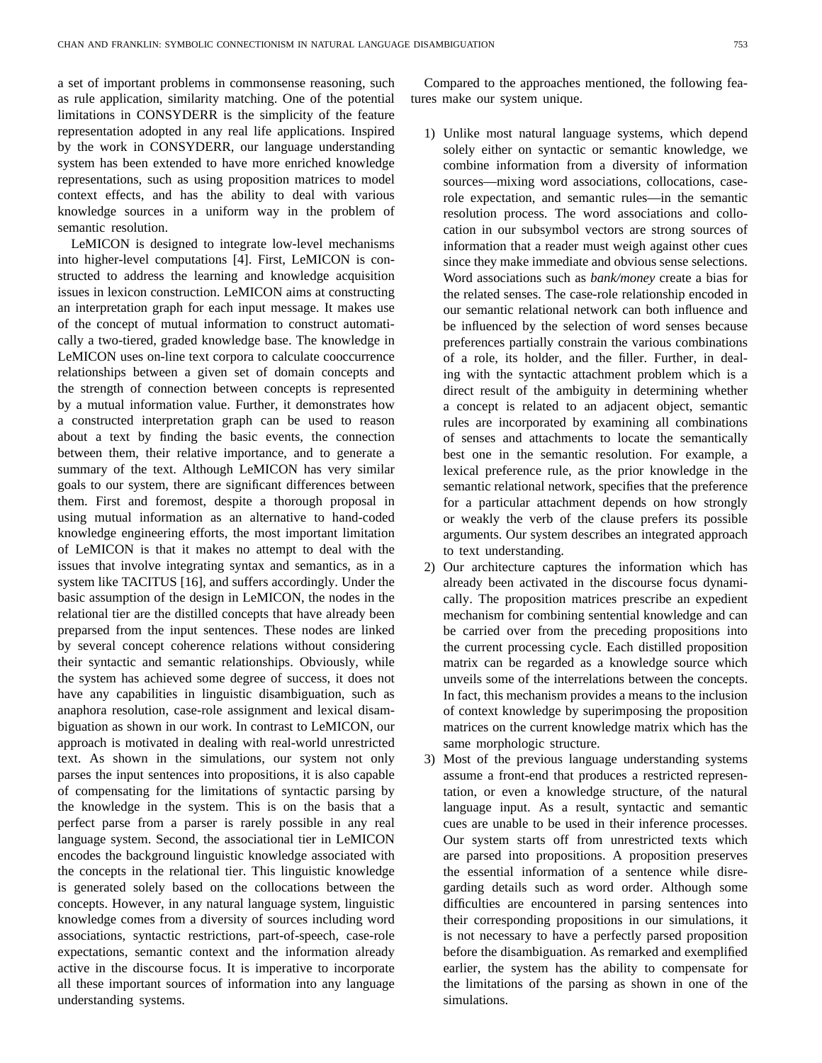a set of important problems in commonsense reasoning, such as rule application, similarity matching. One of the potential limitations in CONSYDERR is the simplicity of the feature representation adopted in any real life applications. Inspired by the work in CONSYDERR, our language understanding system has been extended to have more enriched knowledge representations, such as using proposition matrices to model context effects, and has the ability to deal with various knowledge sources in a uniform way in the problem of semantic resolution.

LeMICON is designed to integrate low-level mechanisms into higher-level computations [4]. First, LeMICON is constructed to address the learning and knowledge acquisition issues in lexicon construction. LeMICON aims at constructing an interpretation graph for each input message. It makes use of the concept of mutual information to construct automatically a two-tiered, graded knowledge base. The knowledge in LeMICON uses on-line text corpora to calculate cooccurrence relationships between a given set of domain concepts and the strength of connection between concepts is represented by a mutual information value. Further, it demonstrates how a constructed interpretation graph can be used to reason about a text by finding the basic events, the connection between them, their relative importance, and to generate a summary of the text. Although LeMICON has very similar goals to our system, there are significant differences between them. First and foremost, despite a thorough proposal in using mutual information as an alternative to hand-coded knowledge engineering efforts, the most important limitation of LeMICON is that it makes no attempt to deal with the issues that involve integrating syntax and semantics, as in a system like TACITUS [16], and suffers accordingly. Under the basic assumption of the design in LeMICON, the nodes in the relational tier are the distilled concepts that have already been preparsed from the input sentences. These nodes are linked by several concept coherence relations without considering their syntactic and semantic relationships. Obviously, while the system has achieved some degree of success, it does not have any capabilities in linguistic disambiguation, such as anaphora resolution, case-role assignment and lexical disambiguation as shown in our work. In contrast to LeMICON, our approach is motivated in dealing with real-world unrestricted text. As shown in the simulations, our system not only parses the input sentences into propositions, it is also capable of compensating for the limitations of syntactic parsing by the knowledge in the system. This is on the basis that a perfect parse from a parser is rarely possible in any real language system. Second, the associational tier in LeMICON encodes the background linguistic knowledge associated with the concepts in the relational tier. This linguistic knowledge is generated solely based on the collocations between the concepts. However, in any natural language system, linguistic knowledge comes from a diversity of sources including word associations, syntactic restrictions, part-of-speech, case-role expectations, semantic context and the information already active in the discourse focus. It is imperative to incorporate all these important sources of information into any language understanding systems.

Compared to the approaches mentioned, the following features make our system unique.

- 1) Unlike most natural language systems, which depend solely either on syntactic or semantic knowledge, we combine information from a diversity of information sources—mixing word associations, collocations, caserole expectation, and semantic rules—in the semantic resolution process. The word associations and collocation in our subsymbol vectors are strong sources of information that a reader must weigh against other cues since they make immediate and obvious sense selections. Word associations such as *bank/money* create a bias for the related senses. The case-role relationship encoded in our semantic relational network can both influence and be influenced by the selection of word senses because preferences partially constrain the various combinations of a role, its holder, and the filler. Further, in dealing with the syntactic attachment problem which is a direct result of the ambiguity in determining whether a concept is related to an adjacent object, semantic rules are incorporated by examining all combinations of senses and attachments to locate the semantically best one in the semantic resolution. For example, a lexical preference rule, as the prior knowledge in the semantic relational network, specifies that the preference for a particular attachment depends on how strongly or weakly the verb of the clause prefers its possible arguments. Our system describes an integrated approach to text understanding.
- 2) Our architecture captures the information which has already been activated in the discourse focus dynamically. The proposition matrices prescribe an expedient mechanism for combining sentential knowledge and can be carried over from the preceding propositions into the current processing cycle. Each distilled proposition matrix can be regarded as a knowledge source which unveils some of the interrelations between the concepts. In fact, this mechanism provides a means to the inclusion of context knowledge by superimposing the proposition matrices on the current knowledge matrix which has the same morphologic structure.
- 3) Most of the previous language understanding systems assume a front-end that produces a restricted representation, or even a knowledge structure, of the natural language input. As a result, syntactic and semantic cues are unable to be used in their inference processes. Our system starts off from unrestricted texts which are parsed into propositions. A proposition preserves the essential information of a sentence while disregarding details such as word order. Although some difficulties are encountered in parsing sentences into their corresponding propositions in our simulations, it is not necessary to have a perfectly parsed proposition before the disambiguation. As remarked and exemplified earlier, the system has the ability to compensate for the limitations of the parsing as shown in one of the simulations.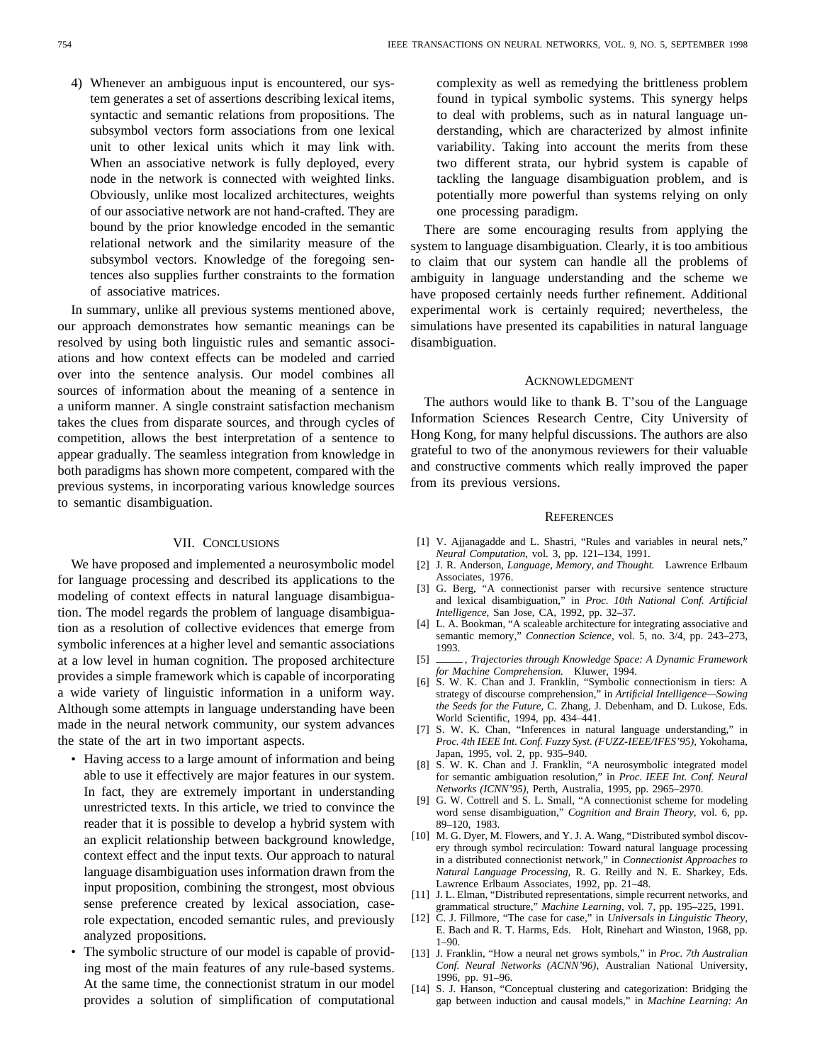4) Whenever an ambiguous input is encountered, our system generates a set of assertions describing lexical items, syntactic and semantic relations from propositions. The subsymbol vectors form associations from one lexical unit to other lexical units which it may link with. When an associative network is fully deployed, every node in the network is connected with weighted links. Obviously, unlike most localized architectures, weights of our associative network are not hand-crafted. They are bound by the prior knowledge encoded in the semantic relational network and the similarity measure of the subsymbol vectors. Knowledge of the foregoing sentences also supplies further constraints to the formation of associative matrices.

In summary, unlike all previous systems mentioned above, our approach demonstrates how semantic meanings can be resolved by using both linguistic rules and semantic associations and how context effects can be modeled and carried over into the sentence analysis. Our model combines all sources of information about the meaning of a sentence in a uniform manner. A single constraint satisfaction mechanism takes the clues from disparate sources, and through cycles of competition, allows the best interpretation of a sentence to appear gradually. The seamless integration from knowledge in both paradigms has shown more competent, compared with the previous systems, in incorporating various knowledge sources to semantic disambiguation.

## VII. CONCLUSIONS

We have proposed and implemented a neurosymbolic model for language processing and described its applications to the modeling of context effects in natural language disambiguation. The model regards the problem of language disambiguation as a resolution of collective evidences that emerge from symbolic inferences at a higher level and semantic associations at a low level in human cognition. The proposed architecture provides a simple framework which is capable of incorporating a wide variety of linguistic information in a uniform way. Although some attempts in language understanding have been made in the neural network community, our system advances the state of the art in two important aspects.

- Having access to a large amount of information and being able to use it effectively are major features in our system. In fact, they are extremely important in understanding unrestricted texts. In this article, we tried to convince the reader that it is possible to develop a hybrid system with an explicit relationship between background knowledge, context effect and the input texts. Our approach to natural language disambiguation uses information drawn from the input proposition, combining the strongest, most obvious sense preference created by lexical association, caserole expectation, encoded semantic rules, and previously analyzed propositions.
- The symbolic structure of our model is capable of providing most of the main features of any rule-based systems. At the same time, the connectionist stratum in our model provides a solution of simplification of computational

complexity as well as remedying the brittleness problem found in typical symbolic systems. This synergy helps to deal with problems, such as in natural language understanding, which are characterized by almost infinite variability. Taking into account the merits from these two different strata, our hybrid system is capable of tackling the language disambiguation problem, and is potentially more powerful than systems relying on only one processing paradigm.

There are some encouraging results from applying the system to language disambiguation. Clearly, it is too ambitious to claim that our system can handle all the problems of ambiguity in language understanding and the scheme we have proposed certainly needs further refinement. Additional experimental work is certainly required; nevertheless, the simulations have presented its capabilities in natural language disambiguation.

#### ACKNOWLEDGMENT

The authors would like to thank B. T'sou of the Language Information Sciences Research Centre, City University of Hong Kong, for many helpful discussions. The authors are also grateful to two of the anonymous reviewers for their valuable and constructive comments which really improved the paper from its previous versions.

#### **REFERENCES**

- [1] V. Ajjanagadde and L. Shastri, "Rules and variables in neural nets," *Neural Computation,* vol. 3, pp. 121–134, 1991.
- [2] J. R. Anderson, *Language, Memory, and Thought.* Lawrence Erlbaum Associates, 1976.
- [3] G. Berg, "A connectionist parser with recursive sentence structure and lexical disambiguation," in *Proc. 10th National Conf. Artificial Intelligence,* San Jose, CA, 1992, pp. 32–37.
- [4] L. A. Bookman, "A scaleable architecture for integrating associative and semantic memory," *Connection Science,* vol. 5, no. 3/4, pp. 243–273, 1993.
- [5] , *Trajectories through Knowledge Space: A Dynamic Framework for Machine Comprehension.* Kluwer, 1994.
- [6] S. W. K. Chan and J. Franklin, "Symbolic connectionism in tiers: A strategy of discourse comprehension," in *Artificial Intelligence—Sowing the Seeds for the Future,* C. Zhang, J. Debenham, and D. Lukose, Eds. World Scientific, 1994, pp. 434–441.
- [7] S. W. K. Chan, "Inferences in natural language understanding," in *Proc. 4th IEEE Int. Conf. Fuzzy Syst. (FUZZ-IEEE/IFES'95),* Yokohama, Japan, 1995, vol. 2, pp. 935–940.
- [8] S. W. K. Chan and J. Franklin, "A neurosymbolic integrated model for semantic ambiguation resolution," in *Proc. IEEE Int. Conf. Neural Networks (ICNN'95),* Perth, Australia, 1995, pp. 2965–2970.
- [9] G. W. Cottrell and S. L. Small, "A connectionist scheme for modeling word sense disambiguation," *Cognition and Brain Theory,* vol. 6, pp. 89–120, 1983.
- [10] M. G. Dyer, M. Flowers, and Y. J. A. Wang, "Distributed symbol discovery through symbol recirculation: Toward natural language processing in a distributed connectionist network," in *Connectionist Approaches to Natural Language Processing,* R. G. Reilly and N. E. Sharkey, Eds. Lawrence Erlbaum Associates, 1992, pp. 21–48.
- [11] J. L. Elman, "Distributed representations, simple recurrent networks, and grammatical structure," *Machine Learning,* vol. 7, pp. 195–225, 1991.
- [12] C. J. Fillmore, "The case for case," in *Universals in Linguistic Theory,* E. Bach and R. T. Harms, Eds. Holt, Rinehart and Winston, 1968, pp. 1–90.
- [13] J. Franklin, "How a neural net grows symbols," in *Proc. 7th Australian Conf. Neural Networks (ACNN'96),* Australian National University, 1996, pp. 91–96.
- [14] S. J. Hanson, "Conceptual clustering and categorization: Bridging the gap between induction and causal models," in *Machine Learning: An*